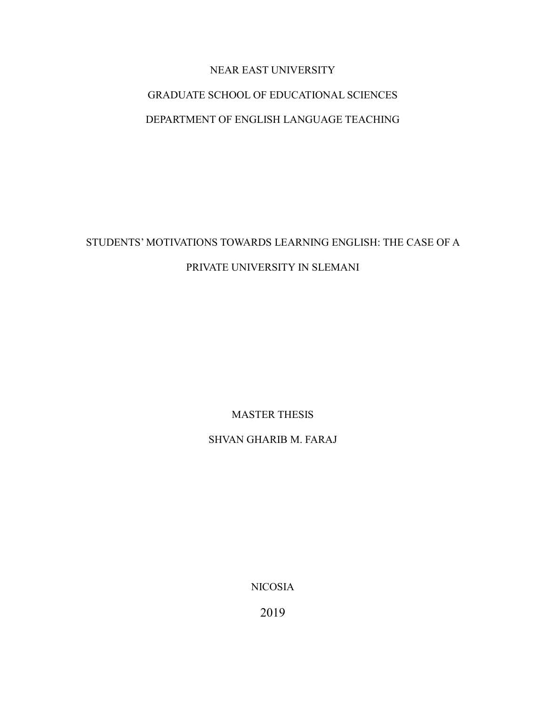## NEAR EAST UNIVERSITY

# GRADUATE SCHOOL OF EDUCATIONAL SCIENCES DEPARTMENT OF ENGLISH LANGUAGE TEACHING

# STUDENTS" MOTIVATIONS TOWARDS LEARNING ENGLISH: THE CASE OF A PRIVATE UNIVERSITY IN SLEMANI

MASTER THESIS

SHVAN GHARIB M. FARAJ

NICOSIA

2019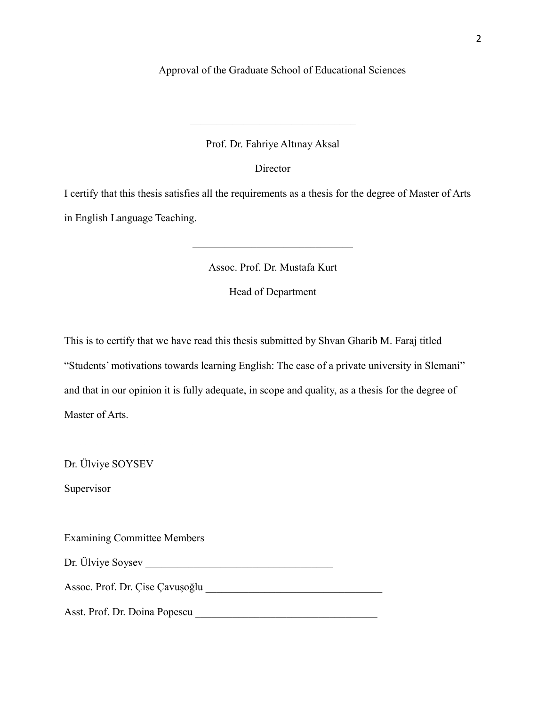Approval of the Graduate School of Educational Sciences

## Prof. Dr. Fahriye Altınay Aksal

 $\mathcal{L}_\text{max}$  , where  $\mathcal{L}_\text{max}$  and  $\mathcal{L}_\text{max}$  and  $\mathcal{L}_\text{max}$ 

Director

I certify that this thesis satisfies all the requirements as a thesis for the degree of Master of Arts in English Language Teaching.

Assoc. Prof. Dr. Mustafa Kurt

 $\mathcal{L}_\text{max}$  , where  $\mathcal{L}_\text{max}$  and  $\mathcal{L}_\text{max}$  and  $\mathcal{L}_\text{max}$ 

Head of Department

This is to certify that we have read this thesis submitted by Shvan Gharib M. Faraj titled "Students' motivations towards learning English: The case of a private university in Slemani" and that in our opinion it is fully adequate, in scope and quality, as a thesis for the degree of Master of Arts.

Dr. Ülviye SOYSEV

Supervisor

Examining Committee Members

 $\mathcal{L}_\text{max}$  , where  $\mathcal{L}_\text{max}$  , we have the set of  $\mathcal{L}_\text{max}$ 

Dr. Ülviye Soysev \_\_\_\_\_\_\_\_\_\_\_\_\_\_\_\_\_\_\_\_\_\_\_\_\_\_\_\_\_\_\_\_\_\_\_

Assoc. Prof. Dr. Çise Çavuşoğlu \_\_\_\_\_\_\_\_\_\_\_\_\_\_\_\_\_\_\_\_\_\_\_\_\_\_\_\_\_\_\_\_\_

Asst. Prof. Dr. Doina Popescu \_\_\_\_\_\_\_\_\_\_\_\_\_\_\_\_\_\_\_\_\_\_\_\_\_\_\_\_\_\_\_\_\_\_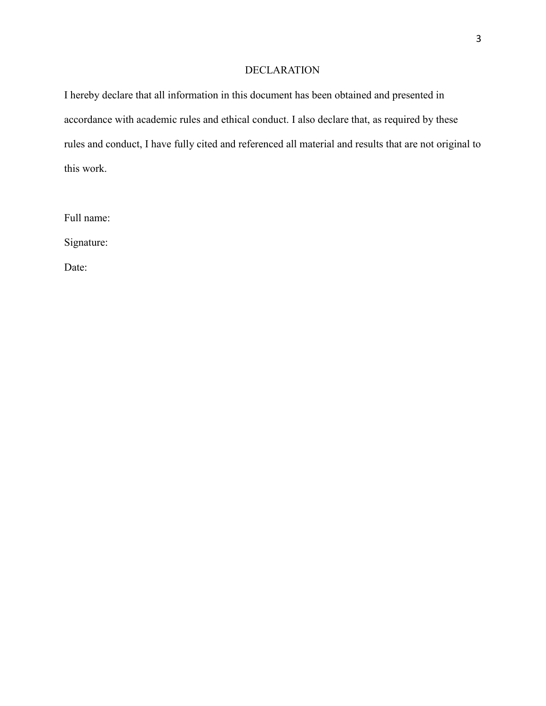## DECLARATION

I hereby declare that all information in this document has been obtained and presented in accordance with academic rules and ethical conduct. I also declare that, as required by these rules and conduct, I have fully cited and referenced all material and results that are not original to this work.

Full name:

Signature:

Date: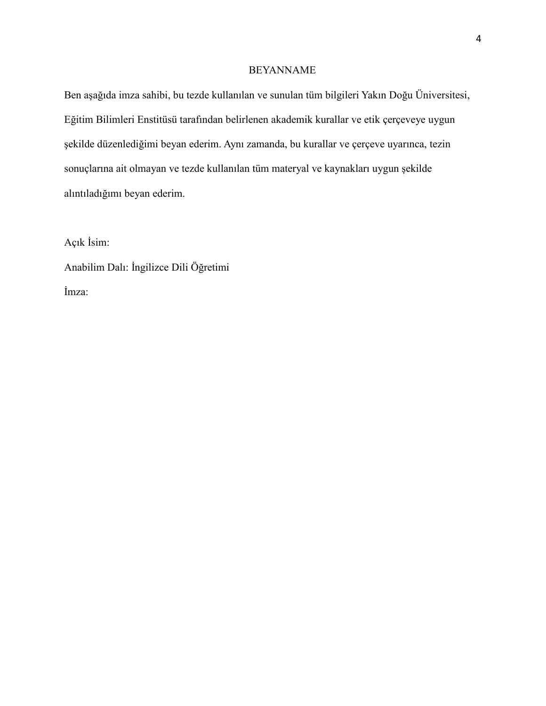## BEYANNAME

Ben aşağıda imza sahibi, bu tezde kullanılan ve sunulan tüm bilgileri Yakın Doğu Üniversitesi, Eğitim Bilimleri Enstitüsü tarafından belirlenen akademik kurallar ve etik çerçeveye uygun şekilde düzenlediğimi beyan ederim. Aynı zamanda, bu kurallar ve çerçeve uyarınca, tezin sonuçlarına ait olmayan ve tezde kullanılan tüm materyal ve kaynakları uygun şekilde alıntıladığımı beyan ederim.

Açık İsim:

Anabilim Dalı: İngilizce Dili Öğretimi İmza: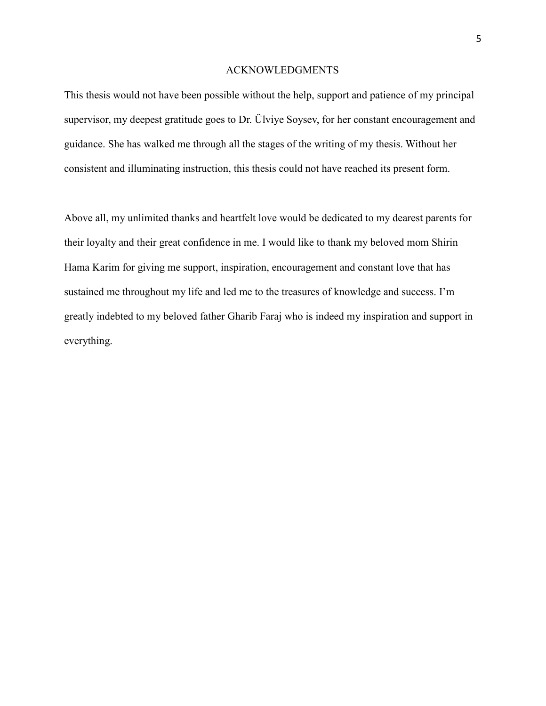## ACKNOWLEDGMENTS

This thesis would not have been possible without the help, support and patience of my principal supervisor, my deepest gratitude goes to Dr. Ülviye Soysev, for her constant encouragement and guidance. She has walked me through all the stages of the writing of my thesis. Without her consistent and illuminating instruction, this thesis could not have reached its present form.

Above all, my unlimited thanks and heartfelt love would be dedicated to my dearest parents for their loyalty and their great confidence in me. I would like to thank my beloved mom Shirin Hama Karim for giving me support, inspiration, encouragement and constant love that has sustained me throughout my life and led me to the treasures of knowledge and success. I"m greatly indebted to my beloved father Gharib Faraj who is indeed my inspiration and support in everything.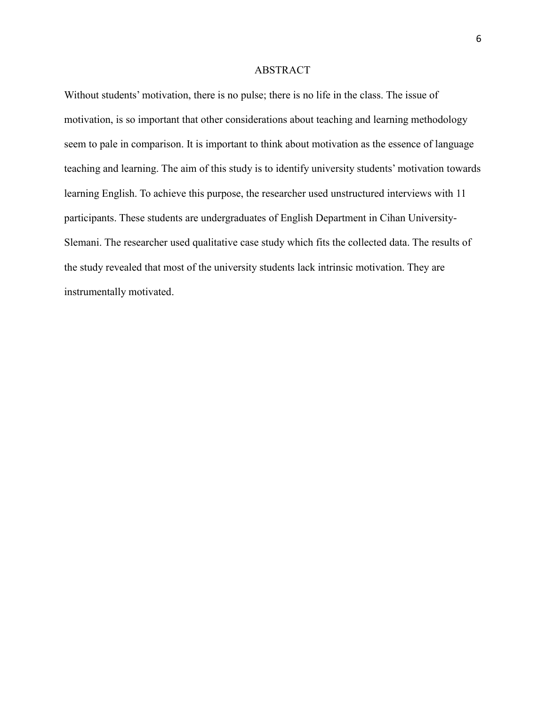## ABSTRACT

Without students' motivation, there is no pulse; there is no life in the class. The issue of motivation, is so important that other considerations about teaching and learning methodology seem to pale in comparison. It is important to think about motivation as the essence of language teaching and learning. The aim of this study is to identify university students" motivation towards learning English. To achieve this purpose, the researcher used unstructured interviews with 11 participants. These students are undergraduates of English Department in Cihan University-Slemani. The researcher used qualitative case study which fits the collected data. The results of the study revealed that most of the university students lack intrinsic motivation. They are instrumentally motivated.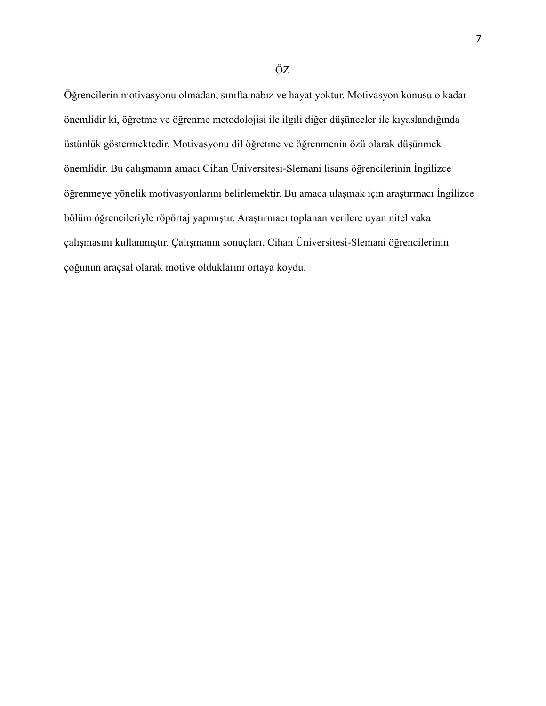Öğrencilerin motivasyonu olmadan, sınıfta nabız ve hayat yoktur. Motivasyon konusu o kadar önemlidir ki, öğretme ve öğrenme metodolojisi ile ilgili diğer düşünceler ile kıyaslandığında üstünlük göstermektedir. Motivasyonu dil öğretme ve öğrenmenin özü olarak düşünmek önemlidir. Bu çalışmanın amacı Cihan Üniversitesi-Slemani lisans öğrencilerinin İngilizce öğrenmeye yönelik motivasyonlarını belirlemektir. Bu amaca ulaşmak için araştırmacı İngilizce bölüm öğrencileriyle röpörtaj yapmıştır. Araştırmacı toplanan verilere uyan nitel vaka çalışmasını kullanmıştır. Çalışmanın sonuçları, Cihan Üniversitesi-Slemani öğrencilerinin çoğunun araçsal olarak motive olduklarını ortaya koydu.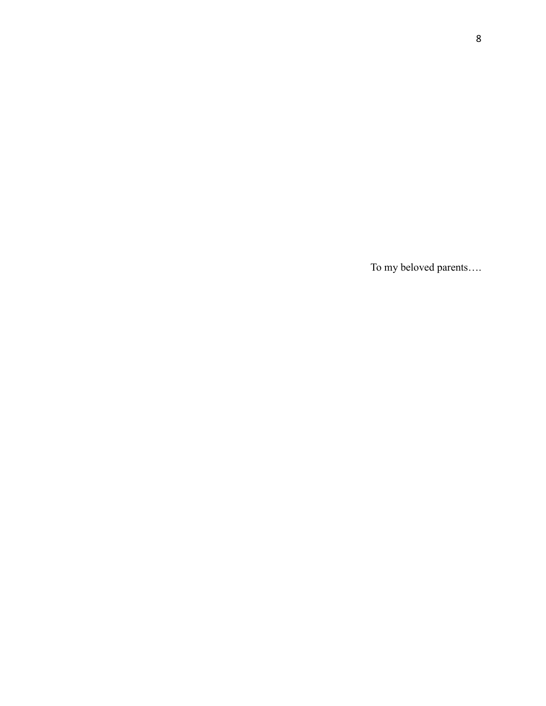To my beloved parents….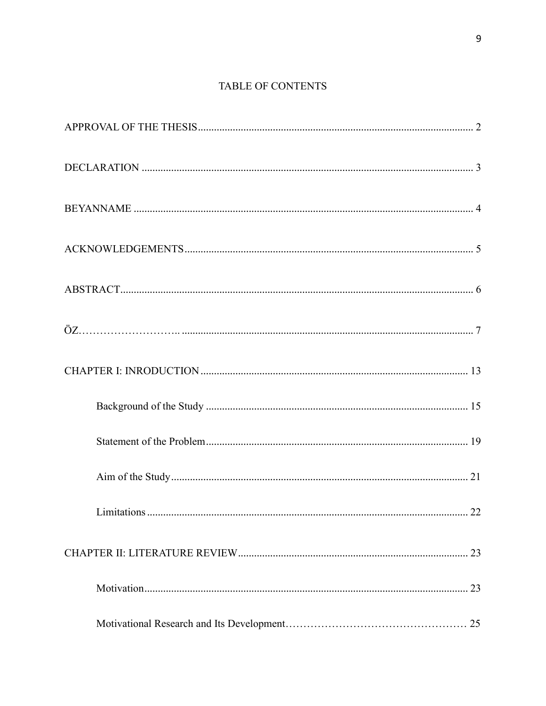## TABLE OF CONTENTS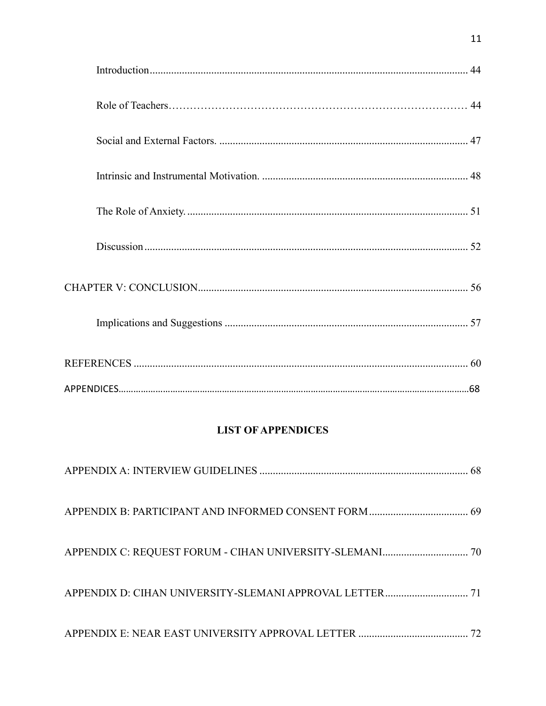## **LIST OF APPENDICES**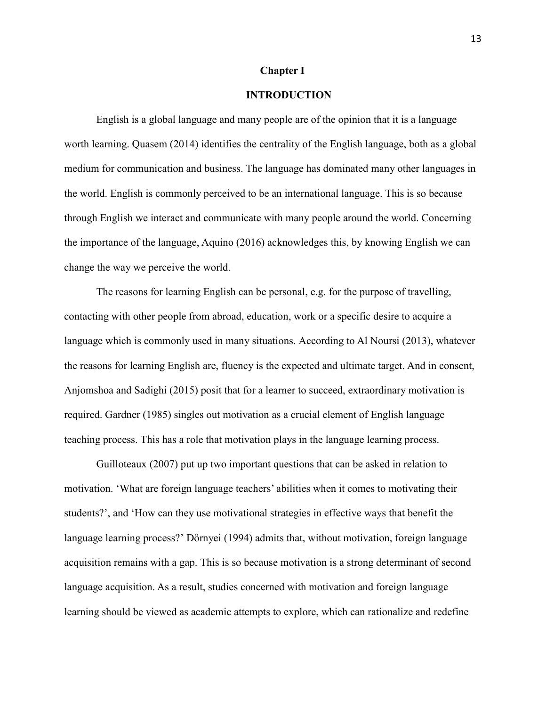#### **Chapter I**

## **INTRODUCTION**

English is a global language and many people are of the opinion that it is a language worth learning. Quasem (2014) identifies the centrality of the English language, both as a global medium for communication and business. The language has dominated many other languages in the world. English is commonly perceived to be an international language. This is so because through English we interact and communicate with many people around the world. Concerning the importance of the language, Aquino (2016) acknowledges this, by knowing English we can change the way we perceive the world.

The reasons for learning English can be personal, e.g. for the purpose of travelling, contacting with other people from abroad, education, work or a specific desire to acquire a language which is commonly used in many situations. According to Al Noursi (2013), whatever the reasons for learning English are, fluency is the expected and ultimate target. And in consent, Anjomshoa and Sadighi (2015) posit that for a learner to succeed, extraordinary motivation is required. Gardner (1985) singles out motivation as a crucial element of English language teaching process. This has a role that motivation plays in the language learning process.

Guilloteaux (2007) put up two important questions that can be asked in relation to motivation. 'What are foreign language teachers' abilities when it comes to motivating their students?", and "How can they use motivational strategies in effective ways that benefit the language learning process?" Dörnyei (1994) admits that, without motivation, foreign language acquisition remains with a gap. This is so because motivation is a strong determinant of second language acquisition. As a result, studies concerned with motivation and foreign language learning should be viewed as academic attempts to explore, which can rationalize and redefine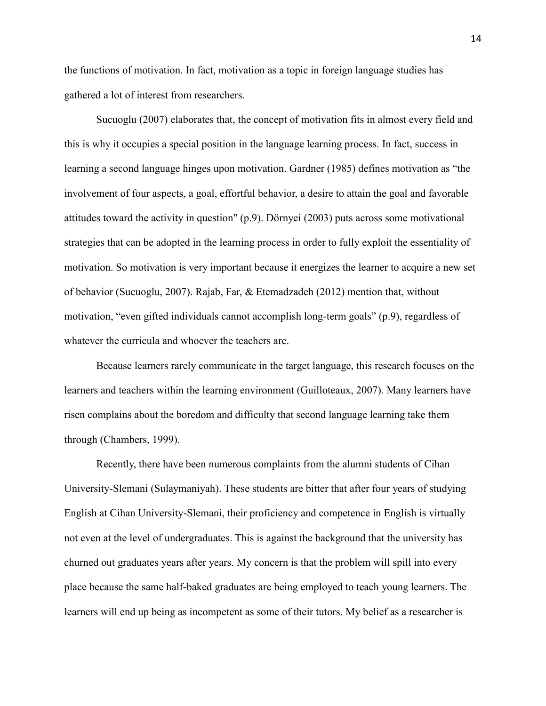the functions of motivation. In fact, motivation as a topic in foreign language studies has gathered a lot of interest from researchers.

Sucuoglu (2007) elaborates that, the concept of motivation fits in almost every field and this is why it occupies a special position in the language learning process. In fact, success in learning a second language hinges upon motivation. Gardner (1985) defines motivation as "the involvement of four aspects, a goal, effortful behavior, a desire to attain the goal and favorable attitudes toward the activity in question" (p.9). Dörnyei (2003) puts across some motivational strategies that can be adopted in the learning process in order to fully exploit the essentiality of motivation. So motivation is very important because it energizes the learner to acquire a new set of behavior (Sucuoglu, 2007). Rajab, Far, & Etemadzadeh (2012) mention that, without motivation, "even gifted individuals cannot accomplish long-term goals" (p.9), regardless of whatever the curricula and whoever the teachers are.

Because learners rarely communicate in the target language, this research focuses on the learners and teachers within the learning environment (Guilloteaux, 2007). Many learners have risen complains about the boredom and difficulty that second language learning take them through (Chambers, 1999).

Recently, there have been numerous complaints from the alumni students of Cihan University-Slemani (Sulaymaniyah). These students are bitter that after four years of studying English at Cihan University-Slemani, their proficiency and competence in English is virtually not even at the level of undergraduates. This is against the background that the university has churned out graduates years after years. My concern is that the problem will spill into every place because the same half-baked graduates are being employed to teach young learners. The learners will end up being as incompetent as some of their tutors. My belief as a researcher is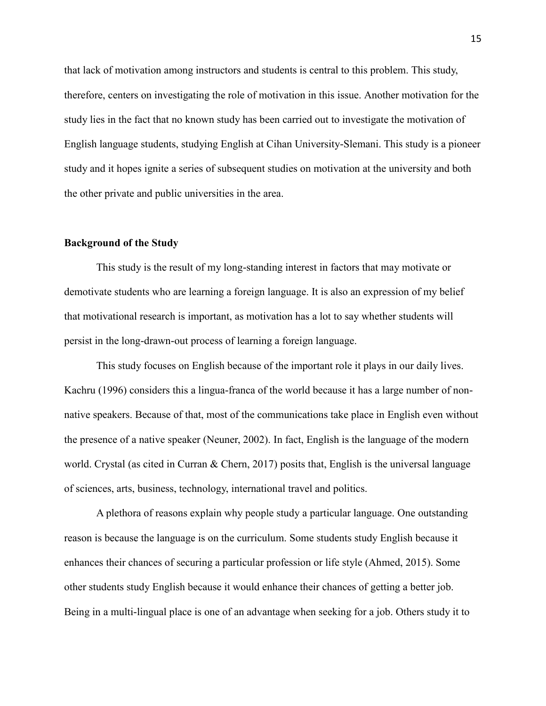that lack of motivation among instructors and students is central to this problem. This study, therefore, centers on investigating the role of motivation in this issue. Another motivation for the study lies in the fact that no known study has been carried out to investigate the motivation of English language students, studying English at Cihan University-Slemani. This study is a pioneer study and it hopes ignite a series of subsequent studies on motivation at the university and both the other private and public universities in the area.

## **Background of the Study**

This study is the result of my long-standing interest in factors that may motivate or demotivate students who are learning a foreign language. It is also an expression of my belief that motivational research is important, as motivation has a lot to say whether students will persist in the long-drawn-out process of learning a foreign language.

This study focuses on English because of the important role it plays in our daily lives. Kachru (1996) considers this a lingua-franca of the world because it has a large number of nonnative speakers. Because of that, most of the communications take place in English even without the presence of a native speaker (Neuner, 2002). In fact, English is the language of the modern world. Crystal (as cited in Curran & Chern, 2017) posits that, English is the universal language of sciences, arts, business, technology, international travel and politics.

A plethora of reasons explain why people study a particular language. One outstanding reason is because the language is on the curriculum. Some students study English because it enhances their chances of securing a particular profession or life style (Ahmed, 2015). Some other students study English because it would enhance their chances of getting a better job. Being in a multi-lingual place is one of an advantage when seeking for a job. Others study it to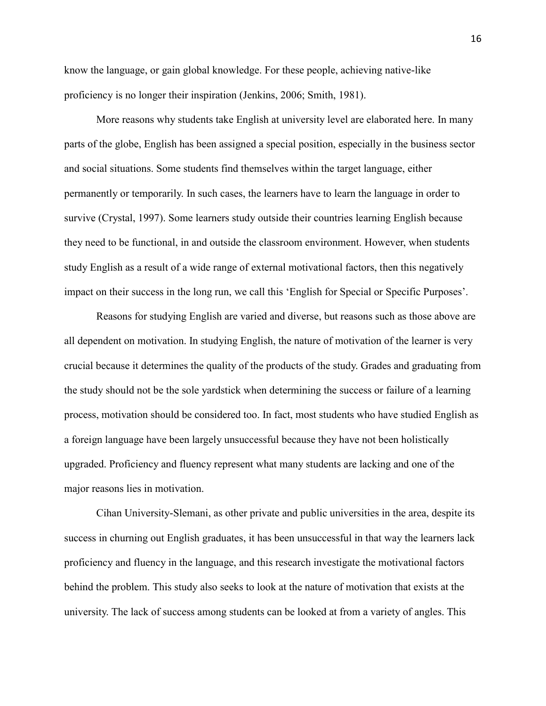know the language, or gain global knowledge. For these people, achieving native-like proficiency is no longer their inspiration (Jenkins, 2006; Smith, 1981).

More reasons why students take English at university level are elaborated here. In many parts of the globe, English has been assigned a special position, especially in the business sector and social situations. Some students find themselves within the target language, either permanently or temporarily. In such cases, the learners have to learn the language in order to survive (Crystal, 1997). Some learners study outside their countries learning English because they need to be functional, in and outside the classroom environment. However, when students study English as a result of a wide range of external motivational factors, then this negatively impact on their success in the long run, we call this "English for Special or Specific Purposes".

Reasons for studying English are varied and diverse, but reasons such as those above are all dependent on motivation. In studying English, the nature of motivation of the learner is very crucial because it determines the quality of the products of the study. Grades and graduating from the study should not be the sole yardstick when determining the success or failure of a learning process, motivation should be considered too. In fact, most students who have studied English as a foreign language have been largely unsuccessful because they have not been holistically upgraded. Proficiency and fluency represent what many students are lacking and one of the major reasons lies in motivation.

Cihan University-Slemani, as other private and public universities in the area, despite its success in churning out English graduates, it has been unsuccessful in that way the learners lack proficiency and fluency in the language, and this research investigate the motivational factors behind the problem. This study also seeks to look at the nature of motivation that exists at the university. The lack of success among students can be looked at from a variety of angles. This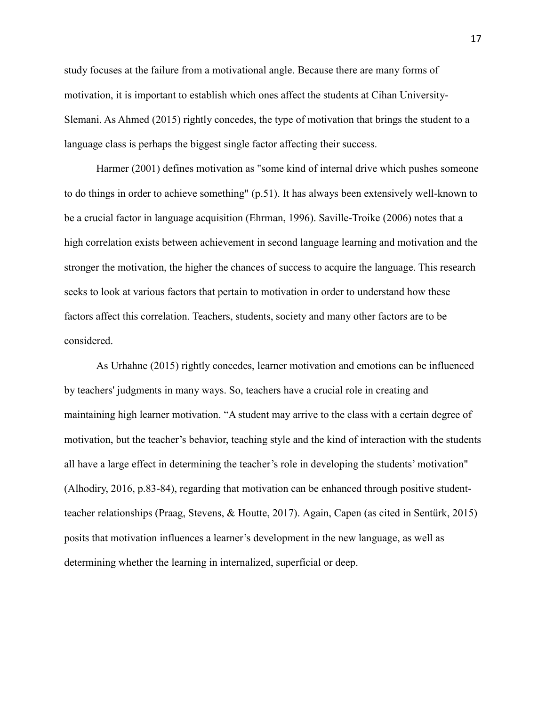study focuses at the failure from a motivational angle. Because there are many forms of motivation, it is important to establish which ones affect the students at Cihan University-Slemani. As Ahmed (2015) rightly concedes, the type of motivation that brings the student to a language class is perhaps the biggest single factor affecting their success.

Harmer (2001) defines motivation as "some kind of internal drive which pushes someone to do things in order to achieve something" (p.51). It has always been extensively well-known to be a crucial factor in language acquisition (Ehrman, 1996). Saville-Troike (2006) notes that a high correlation exists between achievement in second language learning and motivation and the stronger the motivation, the higher the chances of success to acquire the language. This research seeks to look at various factors that pertain to motivation in order to understand how these factors affect this correlation. Teachers, students, society and many other factors are to be considered.

As Urhahne (2015) rightly concedes, learner motivation and emotions can be influenced by teachers' judgments in many ways. So, teachers have a crucial role in creating and maintaining high learner motivation. "A student may arrive to the class with a certain degree of motivation, but the teacher"s behavior, teaching style and the kind of interaction with the students all have a large effect in determining the teacher's role in developing the students' motivation" (Alhodiry, 2016, p.83-84), regarding that motivation can be enhanced through positive studentteacher relationships (Praag, Stevens, & Houtte, 2017). Again, Capen (as cited in Sentürk, 2015) posits that motivation influences a learner"s development in the new language, as well as determining whether the learning in internalized, superficial or deep.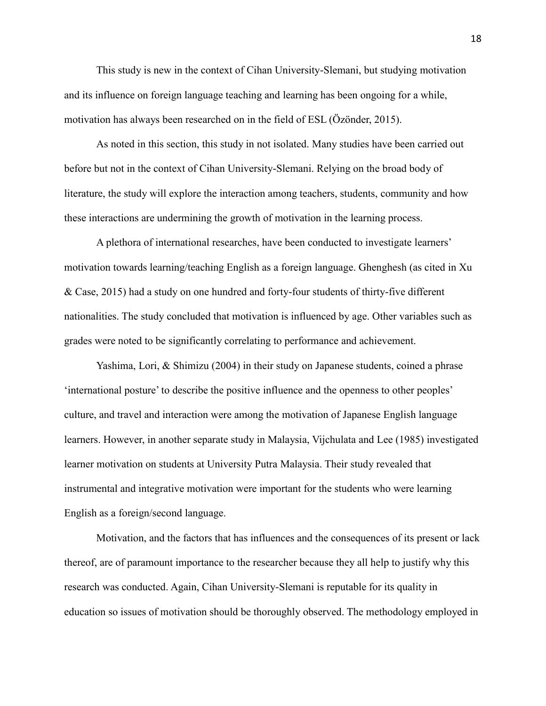This study is new in the context of Cihan University-Slemani, but studying motivation and its influence on foreign language teaching and learning has been ongoing for a while, motivation has always been researched on in the field of ESL (Özönder, 2015).

As noted in this section, this study in not isolated. Many studies have been carried out before but not in the context of Cihan University-Slemani. Relying on the broad body of literature, the study will explore the interaction among teachers, students, community and how these interactions are undermining the growth of motivation in the learning process.

A plethora of international researches, have been conducted to investigate learners" motivation towards learning/teaching English as a foreign language. Ghenghesh (as cited in Xu & Case, 2015) had a study on one hundred and forty-four students of thirty-five different nationalities. The study concluded that motivation is influenced by age. Other variables such as grades were noted to be significantly correlating to performance and achievement.

Yashima, Lori, & Shimizu (2004) in their study on Japanese students, coined a phrase "international posture" to describe the positive influence and the openness to other peoples" culture, and travel and interaction were among the motivation of Japanese English language learners. However, in another separate study in Malaysia, Vijchulata and Lee (1985) investigated learner motivation on students at University Putra Malaysia. Their study revealed that instrumental and integrative motivation were important for the students who were learning English as a foreign/second language.

Motivation, and the factors that has influences and the consequences of its present or lack thereof, are of paramount importance to the researcher because they all help to justify why this research was conducted. Again, Cihan University-Slemani is reputable for its quality in education so issues of motivation should be thoroughly observed. The methodology employed in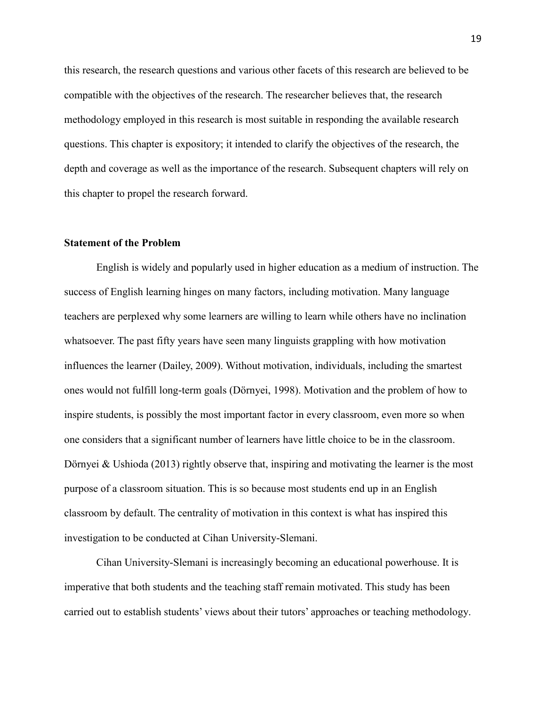this research, the research questions and various other facets of this research are believed to be compatible with the objectives of the research. The researcher believes that, the research methodology employed in this research is most suitable in responding the available research questions. This chapter is expository; it intended to clarify the objectives of the research, the depth and coverage as well as the importance of the research. Subsequent chapters will rely on this chapter to propel the research forward.

## **Statement of the Problem**

English is widely and popularly used in higher education as a medium of instruction. The success of English learning hinges on many factors, including motivation. Many language teachers are perplexed why some learners are willing to learn while others have no inclination whatsoever. The past fifty years have seen many linguists grappling with how motivation influences the learner (Dailey, 2009). Without motivation, individuals, including the smartest ones would not fulfill long-term goals (Dörnyei, 1998). Motivation and the problem of how to inspire students, is possibly the most important factor in every classroom, even more so when one considers that a significant number of learners have little choice to be in the classroom. Dörnyei & Ushioda (2013) rightly observe that, inspiring and motivating the learner is the most purpose of a classroom situation. This is so because most students end up in an English classroom by default. The centrality of motivation in this context is what has inspired this investigation to be conducted at Cihan University-Slemani.

Cihan University-Slemani is increasingly becoming an educational powerhouse. It is imperative that both students and the teaching staff remain motivated. This study has been carried out to establish students" views about their tutors" approaches or teaching methodology.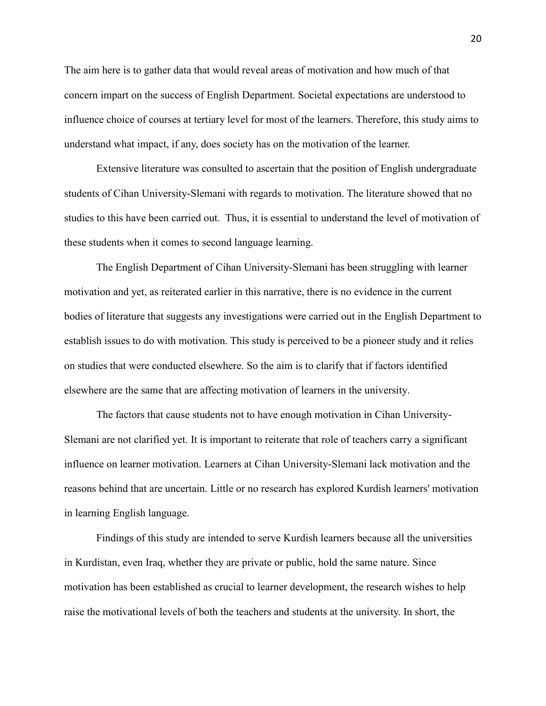The aim here is to gather data that would reveal areas of motivation and how much of that concern impart on the success of English Department. Societal expectations are understood to influence choice of courses at tertiary level for most of the learners. Therefore, this study aims to understand what impact, if any, does society has on the motivation of the learner.

Extensive literature was consulted to ascertain that the position of English undergraduate students of Cihan University-Slemani with regards to motivation. The literature showed that no studies to this have been carried out. Thus, it is essential to understand the level of motivation of these students when it comes to second language learning.

The English Department of Cihan University-Slemani has been struggling with learner motivation and yet, as reiterated earlier in this narrative, there is no evidence in the current bodies of literature that suggests any investigations were carried out in the English Department to establish issues to do with motivation. This study is perceived to be a pioneer study and it relies on studies that were conducted elsewhere. So the aim is to clarify that if factors identified elsewhere are the same that are affecting motivation of learners in the university.

The factors that cause students not to have enough motivation in Cihan University-Slemani are not clarified yet. It is important to reiterate that role of teachers carry a significant influence on learner motivation. Learners at Cihan University-Slemani lack motivation and the reasons behind that are uncertain. Little or no research has explored Kurdish learners' motivation in learning English language.

Findings of this study are intended to serve Kurdish learners because all the universities in Kurdistan, even Iraq, whether they are private or public, hold the same nature. Since motivation has been established as crucial to learner development, the research wishes to help raise the motivational levels of both the teachers and students at the university. In short, the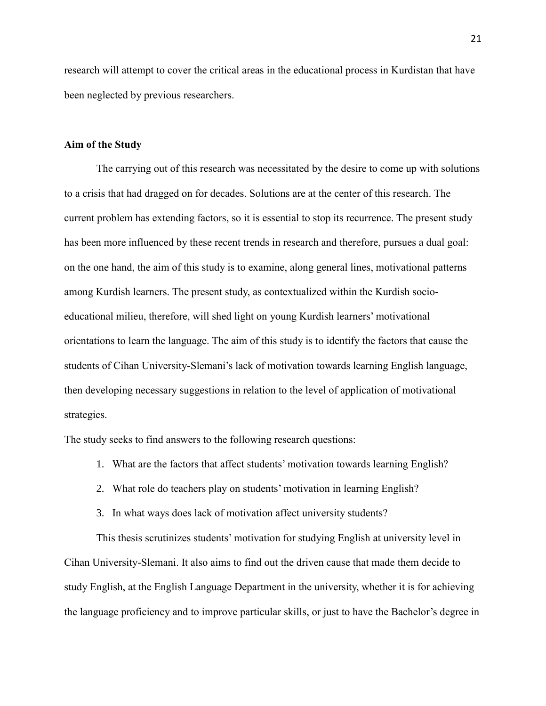research will attempt to cover the critical areas in the educational process in Kurdistan that have been neglected by previous researchers.

### **Aim of the Study**

The carrying out of this research was necessitated by the desire to come up with solutions to a crisis that had dragged on for decades. Solutions are at the center of this research. The current problem has extending factors, so it is essential to stop its recurrence. The present study has been more influenced by these recent trends in research and therefore, pursues a dual goal: on the one hand, the aim of this study is to examine, along general lines, motivational patterns among Kurdish learners. The present study, as contextualized within the Kurdish socioeducational milieu, therefore, will shed light on young Kurdish learners" motivational orientations to learn the language. The aim of this study is to identify the factors that cause the students of Cihan University-Slemani's lack of motivation towards learning English language, then developing necessary suggestions in relation to the level of application of motivational strategies.

The study seeks to find answers to the following research questions:

- 1. What are the factors that affect students" motivation towards learning English?
- 2. What role do teachers play on students' motivation in learning English?
- 3. In what ways does lack of motivation affect university students?

This thesis scrutinizes students" motivation for studying English at university level in Cihan University-Slemani. It also aims to find out the driven cause that made them decide to study English, at the English Language Department in the university, whether it is for achieving the language proficiency and to improve particular skills, or just to have the Bachelor"s degree in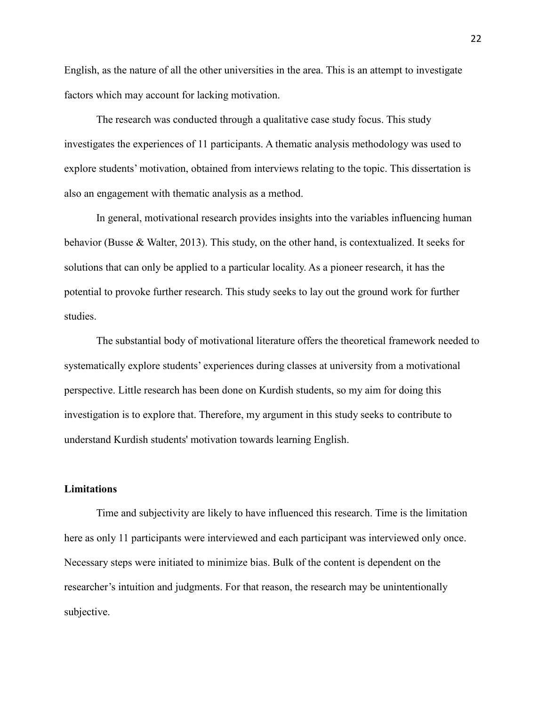English, as the nature of all the other universities in the area. This is an attempt to investigate factors which may account for lacking motivation.

The research was conducted through a qualitative case study focus. This study investigates the experiences of 11 participants. A thematic analysis methodology was used to explore students" motivation, obtained from interviews relating to the topic. This dissertation is also an engagement with thematic analysis as a method.

In general, motivational research provides insights into the variables influencing human behavior (Busse & Walter, 2013). This study, on the other hand, is contextualized. It seeks for solutions that can only be applied to a particular locality. As a pioneer research, it has the potential to provoke further research. This study seeks to lay out the ground work for further studies.

The substantial body of motivational literature offers the theoretical framework needed to systematically explore students' experiences during classes at university from a motivational perspective. Little research has been done on Kurdish students, so my aim for doing this investigation is to explore that. Therefore, my argument in this study seeks to contribute to understand Kurdish students' motivation towards learning English.

## **Limitations**

Time and subjectivity are likely to have influenced this research. Time is the limitation here as only 11 participants were interviewed and each participant was interviewed only once. Necessary steps were initiated to minimize bias. Bulk of the content is dependent on the researcher's intuition and judgments. For that reason, the research may be unintentionally subjective.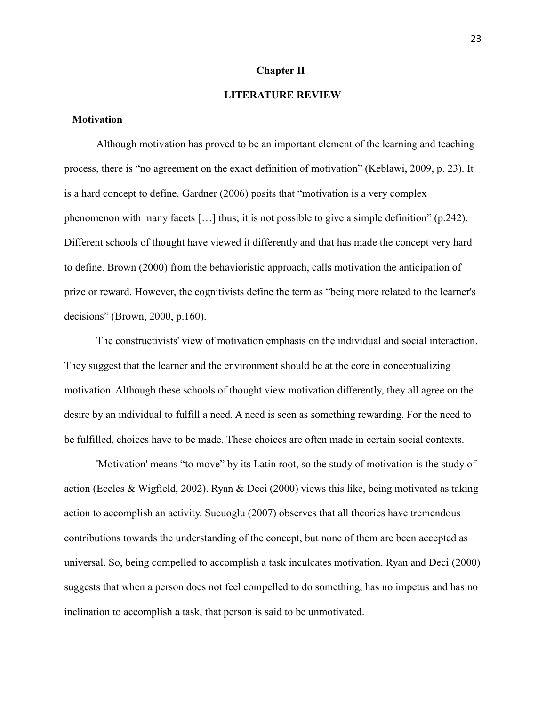#### **Chapter II**

## **LITERATURE REVIEW**

#### **Motivation**

Although motivation has proved to be an important element of the learning and teaching process, there is "no agreement on the exact definition of motivation" (Keblawi, 2009, p. 23). It is a hard concept to define. Gardner (2006) posits that "motivation is a very complex phenomenon with many facets […] thus; it is not possible to give a simple definition" (p.242). Different schools of thought have viewed it differently and that has made the concept very hard to define. Brown (2000) from the behavioristic approach, calls motivation the anticipation of prize or reward. However, the cognitivists define the term as "being more related to the learner's decisions" (Brown, 2000, p.160).

The constructivists' view of motivation emphasis on the individual and social interaction. They suggest that the learner and the environment should be at the core in conceptualizing motivation. Although these schools of thought view motivation differently, they all agree on the desire by an individual to fulfill a need. A need is seen as something rewarding. For the need to be fulfilled, choices have to be made. These choices are often made in certain social contexts.

'Motivation' means "to move" by its Latin root, so the study of motivation is the study of action (Eccles & Wigfield, 2002). Ryan & Deci (2000) views this like, being motivated as taking action to accomplish an activity. Sucuoglu (2007) observes that all theories have tremendous contributions towards the understanding of the concept, but none of them are been accepted as universal. So, being compelled to accomplish a task inculcates motivation. Ryan and Deci (2000) suggests that when a person does not feel compelled to do something, has no impetus and has no inclination to accomplish a task, that person is said to be unmotivated.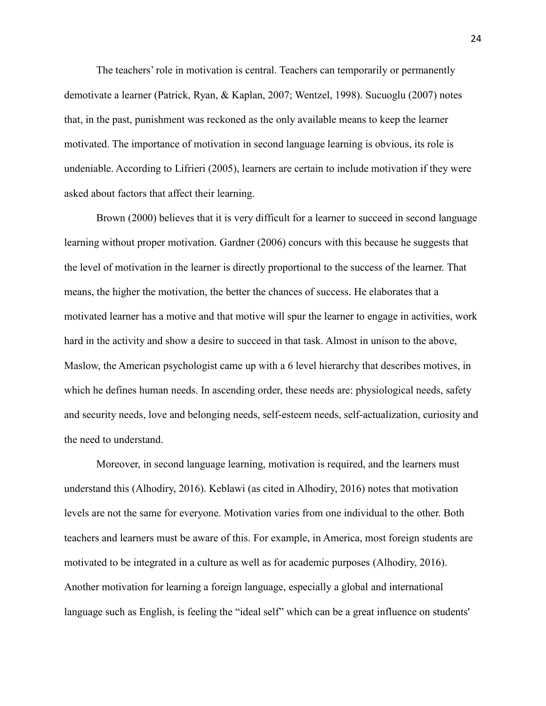The teachers' role in motivation is central. Teachers can temporarily or permanently demotivate a learner (Patrick, Ryan, & Kaplan, 2007; Wentzel, 1998). Sucuoglu (2007) notes that, in the past, punishment was reckoned as the only available means to keep the learner motivated. The importance of motivation in second language learning is obvious, its role is undeniable. According to Lifrieri (2005), learners are certain to include motivation if they were asked about factors that affect their learning.

Brown (2000) believes that it is very difficult for a learner to succeed in second language learning without proper motivation. Gardner (2006) concurs with this because he suggests that the level of motivation in the learner is directly proportional to the success of the learner. That means, the higher the motivation, the better the chances of success. He elaborates that a motivated learner has a motive and that motive will spur the learner to engage in activities, work hard in the activity and show a desire to succeed in that task. Almost in unison to the above, Maslow, the American psychologist came up with a 6 level hierarchy that describes motives, in which he defines human needs. In ascending order, these needs are: physiological needs, safety and security needs, love and belonging needs, self-esteem needs, self-actualization, curiosity and the need to understand.

Moreover, in second language learning, motivation is required, and the learners must understand this (Alhodiry, 2016). Keblawi (as cited in Alhodiry, 2016) notes that motivation levels are not the same for everyone. Motivation varies from one individual to the other. Both teachers and learners must be aware of this. For example, in America, most foreign students are motivated to be integrated in a culture as well as for academic purposes (Alhodiry, 2016). Another motivation for learning a foreign language, especially a global and international language such as English, is feeling the "ideal self" which can be a great influence on students'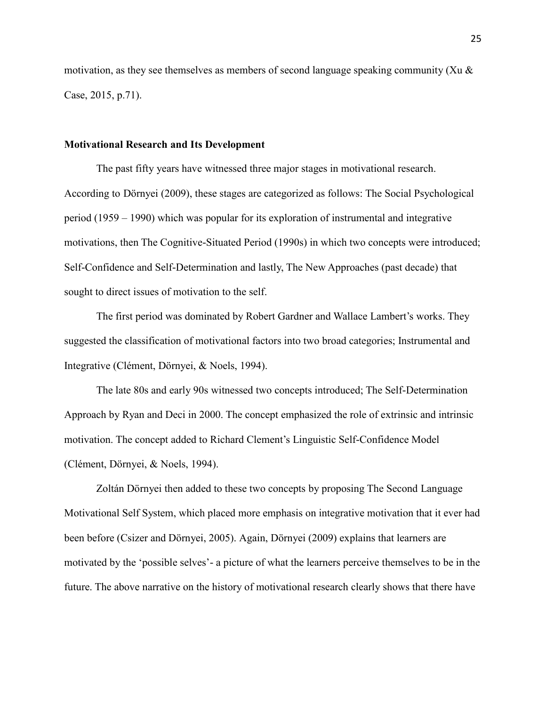motivation, as they see themselves as members of second language speaking community (Xu  $\&$ Case, 2015, p.71).

#### **Motivational Research and Its Development**

The past fifty years have witnessed three major stages in motivational research. According to Dörnyei (2009), these stages are categorized as follows: The Social Psychological period (1959 – 1990) which was popular for its exploration of instrumental and integrative motivations, then The Cognitive-Situated Period (1990s) in which two concepts were introduced; Self-Confidence and Self-Determination and lastly, The New Approaches (past decade) that sought to direct issues of motivation to the self.

The first period was dominated by Robert Gardner and Wallace Lambert's works. They suggested the classification of motivational factors into two broad categories; Instrumental and Integrative (Clément, Dörnyei, & Noels, 1994).

The late 80s and early 90s witnessed two concepts introduced; The Self-Determination Approach by Ryan and Deci in 2000. The concept emphasized the role of extrinsic and intrinsic motivation. The concept added to Richard Clement"s Linguistic Self-Confidence Model (Clément, Dörnyei, & Noels, 1994).

Zoltán Dörnyei then added to these two concepts by proposing The Second Language Motivational Self System, which placed more emphasis on integrative motivation that it ever had been before (Csizer and Dörnyei, 2005). Again, Dörnyei (2009) explains that learners are motivated by the "possible selves"- a picture of what the learners perceive themselves to be in the future. The above narrative on the history of motivational research clearly shows that there have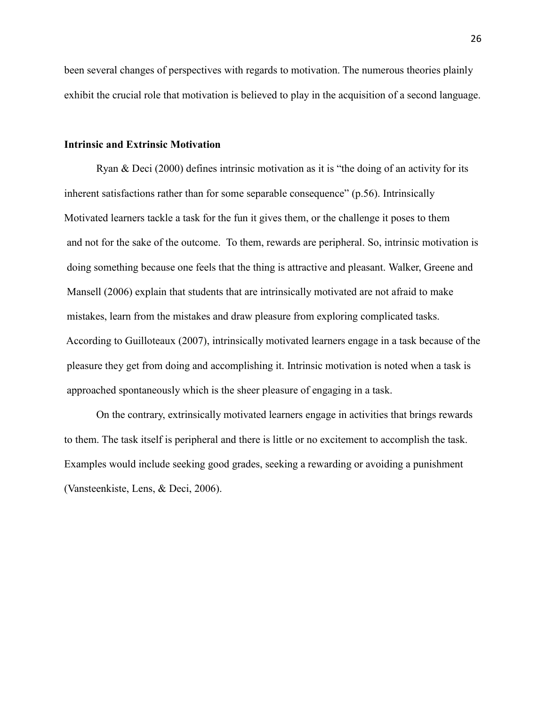been several changes of perspectives with regards to motivation. The numerous theories plainly exhibit the crucial role that motivation is believed to play in the acquisition of a second language.

## **Intrinsic and Extrinsic Motivation**

Ryan & Deci (2000) defines intrinsic motivation as it is "the doing of an activity for its inherent satisfactions rather than for some separable consequence" (p.56). Intrinsically Motivated learners tackle a task for the fun it gives them, or the challenge it poses to them and not for the sake of the outcome. To them, rewards are peripheral. So, intrinsic motivation is doing something because one feels that the thing is attractive and pleasant. Walker, Greene and Mansell (2006) explain that students that are intrinsically motivated are not afraid to make mistakes, learn from the mistakes and draw pleasure from exploring complicated tasks. According to Guilloteaux (2007), intrinsically motivated learners engage in a task because of the pleasure they get from doing and accomplishing it. Intrinsic motivation is noted when a task is approached spontaneously which is the sheer pleasure of engaging in a task.

On the contrary, extrinsically motivated learners engage in activities that brings rewards to them. The task itself is peripheral and there is little or no excitement to accomplish the task. Examples would include seeking good grades, seeking a rewarding or avoiding a punishment (Vansteenkiste, Lens, & Deci, 2006).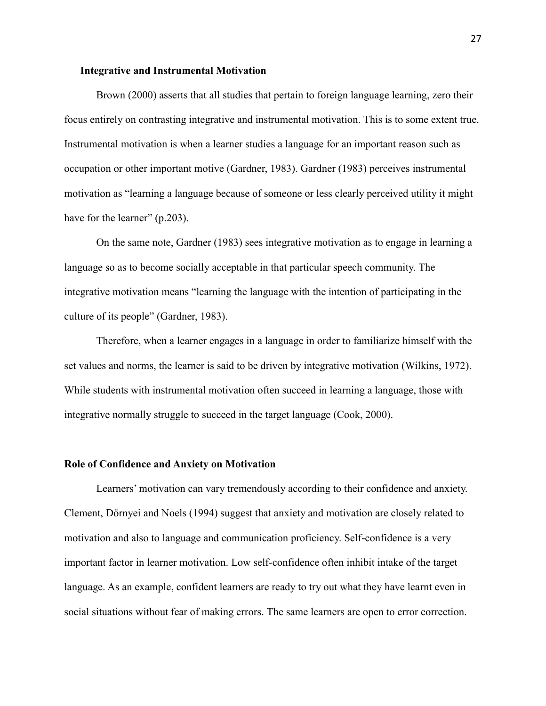## **Integrative and Instrumental Motivation**

Brown (2000) asserts that all studies that pertain to foreign language learning, zero their focus entirely on contrasting integrative and instrumental motivation. This is to some extent true. Instrumental motivation is when a learner studies a language for an important reason such as occupation or other important motive (Gardner, 1983). Gardner (1983) perceives instrumental motivation as "learning a language because of someone or less clearly perceived utility it might have for the learner" (p.203).

On the same note, Gardner (1983) sees integrative motivation as to engage in learning a language so as to become socially acceptable in that particular speech community. The integrative motivation means "learning the language with the intention of participating in the culture of its people" (Gardner, 1983).

Therefore, when a learner engages in a language in order to familiarize himself with the set values and norms, the learner is said to be driven by integrative motivation (Wilkins, 1972). While students with instrumental motivation often succeed in learning a language, those with integrative normally struggle to succeed in the target language (Cook, 2000).

## **Role of Confidence and Anxiety on Motivation**

Learners' motivation can vary tremendously according to their confidence and anxiety. Clement, Dörnyei and Noels (1994) suggest that anxiety and motivation are closely related to motivation and also to language and communication proficiency. Self-confidence is a very important factor in learner motivation. Low self-confidence often inhibit intake of the target language. As an example, confident learners are ready to try out what they have learnt even in social situations without fear of making errors. The same learners are open to error correction.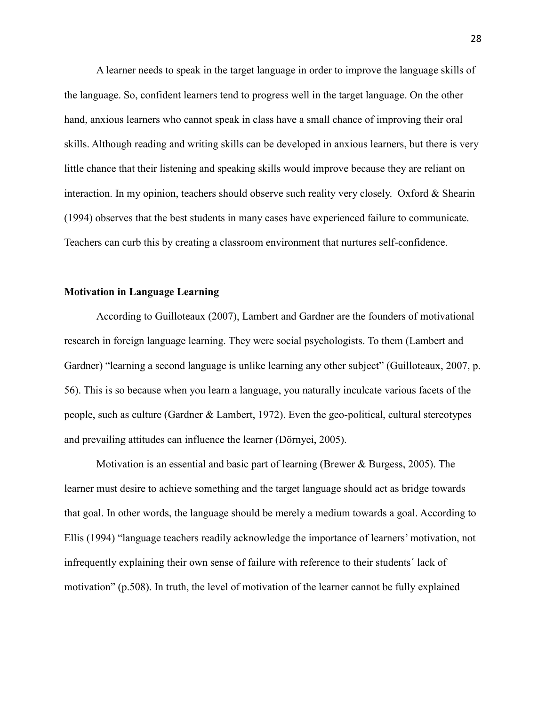A learner needs to speak in the target language in order to improve the language skills of the language. So, confident learners tend to progress well in the target language. On the other hand, anxious learners who cannot speak in class have a small chance of improving their oral skills. Although reading and writing skills can be developed in anxious learners, but there is very little chance that their listening and speaking skills would improve because they are reliant on interaction. In my opinion, teachers should observe such reality very closely. Oxford & Shearin (1994) observes that the best students in many cases have experienced failure to communicate. Teachers can curb this by creating a classroom environment that nurtures self-confidence.

## **Motivation in Language Learning**

According to Guilloteaux (2007), Lambert and Gardner are the founders of motivational research in foreign language learning. They were social psychologists. To them (Lambert and Gardner) "learning a second language is unlike learning any other subject" (Guilloteaux, 2007, p. 56). This is so because when you learn a language, you naturally inculcate various facets of the people, such as culture (Gardner & Lambert, 1972). Even the geo-political, cultural stereotypes and prevailing attitudes can influence the learner (Dörnyei, 2005).

Motivation is an essential and basic part of learning (Brewer & Burgess, 2005). The learner must desire to achieve something and the target language should act as bridge towards that goal. In other words, the language should be merely a medium towards a goal. According to Ellis (1994) "language teachers readily acknowledge the importance of learners" motivation, not infrequently explaining their own sense of failure with reference to their students´ lack of motivation" (p.508). In truth, the level of motivation of the learner cannot be fully explained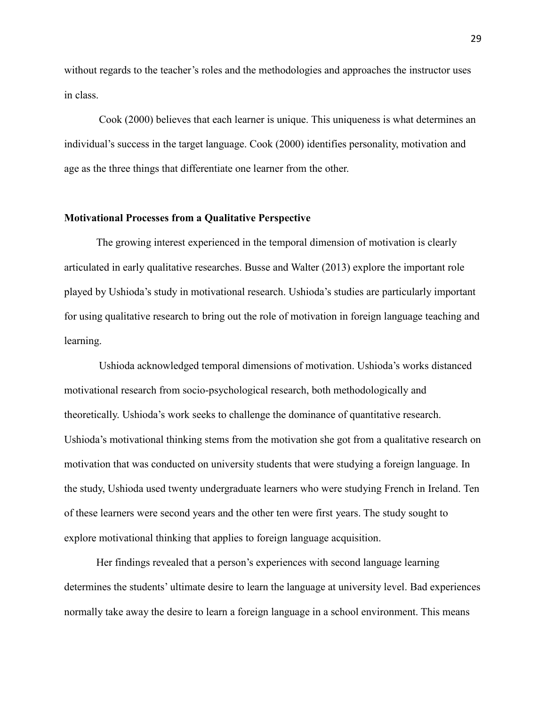without regards to the teacher"s roles and the methodologies and approaches the instructor uses in class.

Cook (2000) believes that each learner is unique. This uniqueness is what determines an individual"s success in the target language. Cook (2000) identifies personality, motivation and age as the three things that differentiate one learner from the other.

## **Motivational Processes from a Qualitative Perspective**

The growing interest experienced in the temporal dimension of motivation is clearly articulated in early qualitative researches. Busse and Walter (2013) explore the important role played by Ushioda"s study in motivational research. Ushioda"s studies are particularly important for using qualitative research to bring out the role of motivation in foreign language teaching and learning.

Ushioda acknowledged temporal dimensions of motivation. Ushioda"s works distanced motivational research from socio-psychological research, both methodologically and theoretically. Ushioda"s work seeks to challenge the dominance of quantitative research. Ushioda"s motivational thinking stems from the motivation she got from a qualitative research on motivation that was conducted on university students that were studying a foreign language. In the study, Ushioda used twenty undergraduate learners who were studying French in Ireland. Ten of these learners were second years and the other ten were first years. The study sought to explore motivational thinking that applies to foreign language acquisition.

Her findings revealed that a person"s experiences with second language learning determines the students" ultimate desire to learn the language at university level. Bad experiences normally take away the desire to learn a foreign language in a school environment. This means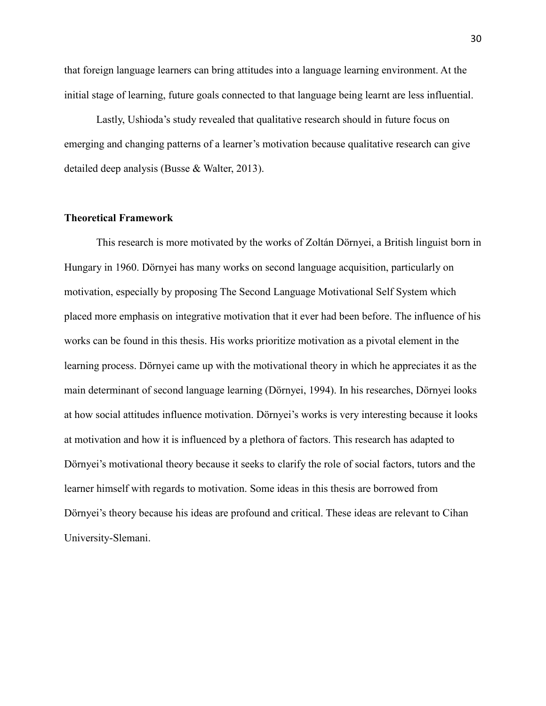that foreign language learners can bring attitudes into a language learning environment. At the initial stage of learning, future goals connected to that language being learnt are less influential.

Lastly, Ushioda's study revealed that qualitative research should in future focus on emerging and changing patterns of a learner"s motivation because qualitative research can give detailed deep analysis (Busse & Walter, 2013).

#### **Theoretical Framework**

This research is more motivated by the works of Zoltán Dörnyei, a British linguist born in Hungary in 1960. Dörnyei has many works on second language acquisition, particularly on motivation, especially by proposing The Second Language Motivational Self System which placed more emphasis on integrative motivation that it ever had been before. The influence of his works can be found in this thesis. His works prioritize motivation as a pivotal element in the learning process. Dörnyei came up with the motivational theory in which he appreciates it as the main determinant of second language learning (Dörnyei, 1994). In his researches, Dörnyei looks at how social attitudes influence motivation. Dörnyei"s works is very interesting because it looks at motivation and how it is influenced by a plethora of factors. This research has adapted to Dörnyei's motivational theory because it seeks to clarify the role of social factors, tutors and the learner himself with regards to motivation. Some ideas in this thesis are borrowed from Dörnyei's theory because his ideas are profound and critical. These ideas are relevant to Cihan University-Slemani.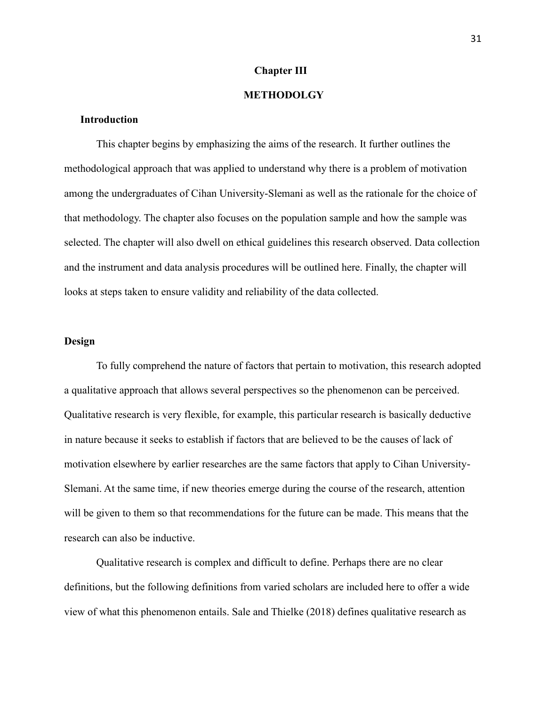## **Chapter III**

## **METHODOLGY**

## **Introduction**

This chapter begins by emphasizing the aims of the research. It further outlines the methodological approach that was applied to understand why there is a problem of motivation among the undergraduates of Cihan University-Slemani as well as the rationale for the choice of that methodology. The chapter also focuses on the population sample and how the sample was selected. The chapter will also dwell on ethical guidelines this research observed. Data collection and the instrument and data analysis procedures will be outlined here. Finally, the chapter will looks at steps taken to ensure validity and reliability of the data collected.

## **Design**

To fully comprehend the nature of factors that pertain to motivation, this research adopted a qualitative approach that allows several perspectives so the phenomenon can be perceived. Qualitative research is very flexible, for example, this particular research is basically deductive in nature because it seeks to establish if factors that are believed to be the causes of lack of motivation elsewhere by earlier researches are the same factors that apply to Cihan University-Slemani. At the same time, if new theories emerge during the course of the research, attention will be given to them so that recommendations for the future can be made. This means that the research can also be inductive.

Qualitative research is complex and difficult to define. Perhaps there are no clear

definitions, but the following definitions from varied scholars are included here to offer a wide

view of what this phenomenon entails. Sale and Thielke (2018) defines qualitative research as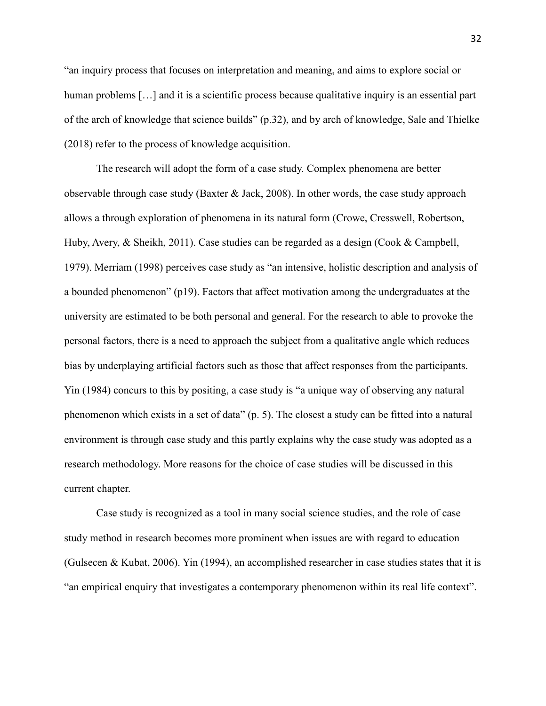"an inquiry process that focuses on interpretation and meaning, and aims to explore social or human problems [...] and it is a scientific process because qualitative inquiry is an essential part of the arch of knowledge that science builds" (p.32), and by arch of knowledge, Sale and Thielke (2018) refer to the process of knowledge acquisition.

The research will adopt the form of a case study. Complex phenomena are better observable through case study (Baxter & Jack, 2008). In other words, the case study approach allows a through exploration of phenomena in its natural form (Crowe, Cresswell, Robertson, Huby, Avery, & Sheikh, 2011). Case studies can be regarded as a design (Cook & Campbell, 1979). Merriam (1998) perceives case study as "an intensive, holistic description and analysis of a bounded phenomenon" (p19). Factors that affect motivation among the undergraduates at the university are estimated to be both personal and general. For the research to able to provoke the personal factors, there is a need to approach the subject from a qualitative angle which reduces bias by underplaying artificial factors such as those that affect responses from the participants. Yin (1984) concurs to this by positing, a case study is "a unique way of observing any natural phenomenon which exists in a set of data" (p. 5). The closest a study can be fitted into a natural environment is through case study and this partly explains why the case study was adopted as a research methodology. More reasons for the choice of case studies will be discussed in this current chapter.

Case study is recognized as a tool in many social science studies, and the role of case study method in research becomes more prominent when issues are with regard to education (Gulsecen & Kubat, 2006). Yin (1994), an accomplished researcher in case studies states that it is "an empirical enquiry that investigates a contemporary phenomenon within its real life context".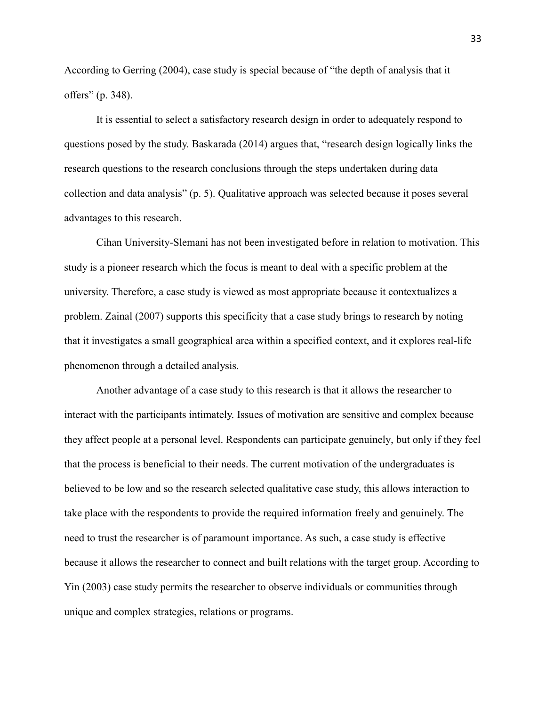According to Gerring (2004), case study is special because of "the depth of analysis that it offers" (p. 348).

It is essential to select a satisfactory research design in order to adequately respond to questions posed by the study. Baskarada (2014) argues that, "research design logically links the research questions to the research conclusions through the steps undertaken during data collection and data analysis" (p. 5). Qualitative approach was selected because it poses several advantages to this research.

Cihan University-Slemani has not been investigated before in relation to motivation. This study is a pioneer research which the focus is meant to deal with a specific problem at the university. Therefore, a case study is viewed as most appropriate because it contextualizes a problem. Zainal (2007) supports this specificity that a case study brings to research by noting that it investigates a small geographical area within a specified context, and it explores real-life phenomenon through a detailed analysis.

Another advantage of a case study to this research is that it allows the researcher to interact with the participants intimately. Issues of motivation are sensitive and complex because they affect people at a personal level. Respondents can participate genuinely, but only if they feel that the process is beneficial to their needs. The current motivation of the undergraduates is believed to be low and so the research selected qualitative case study, this allows interaction to take place with the respondents to provide the required information freely and genuinely. The need to trust the researcher is of paramount importance. As such, a case study is effective because it allows the researcher to connect and built relations with the target group. According to Yin (2003) case study permits the researcher to observe individuals or communities through unique and complex strategies, relations or programs.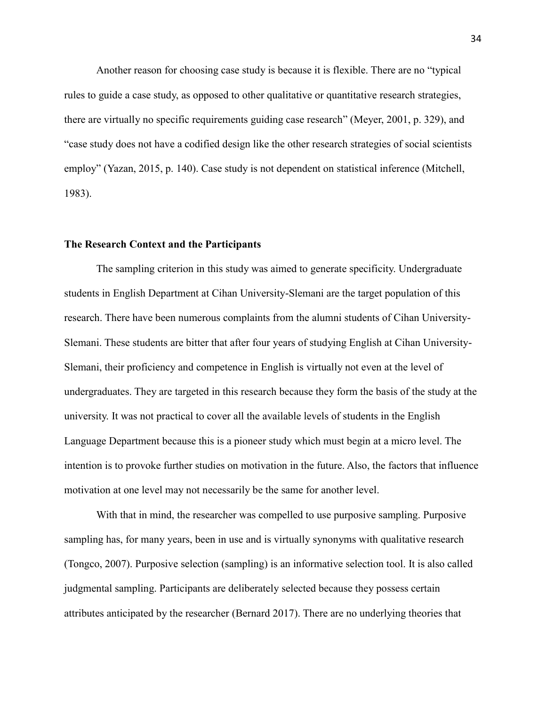Another reason for choosing case study is because it is flexible. There are no "typical rules to guide a case study, as opposed to other qualitative or quantitative research strategies, there are virtually no specific requirements guiding case research" (Meyer, 2001, p. 329), and "case study does not have a codified design like the other research strategies of social scientists employ" (Yazan, 2015, p. 140). Case study is not dependent on statistical inference (Mitchell, 1983).

## **The Research Context and the Participants**

The sampling criterion in this study was aimed to generate specificity. Undergraduate students in English Department at Cihan University-Slemani are the target population of this research. There have been numerous complaints from the alumni students of Cihan University-Slemani. These students are bitter that after four years of studying English at Cihan University-Slemani, their proficiency and competence in English is virtually not even at the level of undergraduates. They are targeted in this research because they form the basis of the study at the university. It was not practical to cover all the available levels of students in the English Language Department because this is a pioneer study which must begin at a micro level. The intention is to provoke further studies on motivation in the future. Also, the factors that influence motivation at one level may not necessarily be the same for another level.

With that in mind, the researcher was compelled to use purposive sampling. Purposive sampling has, for many years, been in use and is virtually synonyms with qualitative research (Tongco, 2007). Purposive selection (sampling) is an informative selection tool. It is also called judgmental sampling. Participants are deliberately selected because they possess certain attributes anticipated by the researcher (Bernard 2017). There are no underlying theories that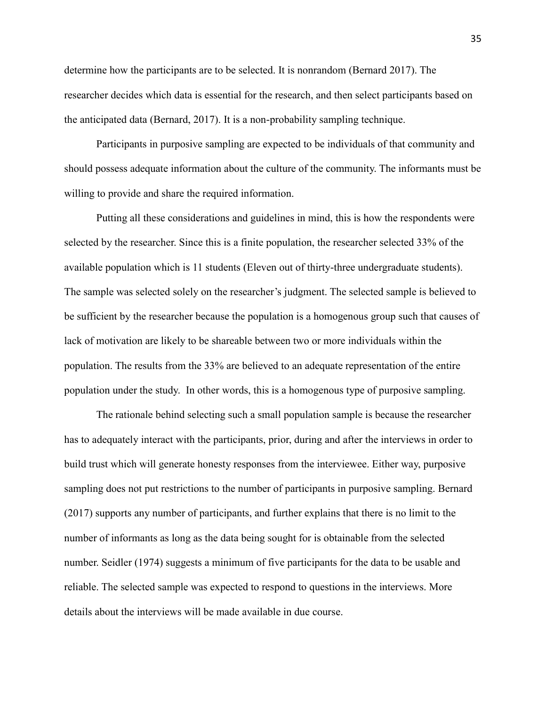determine how the participants are to be selected. It is nonrandom (Bernard 2017). The researcher decides which data is essential for the research, and then select participants based on the anticipated data (Bernard, 2017). It is a non-probability sampling technique.

Participants in purposive sampling are expected to be individuals of that community and should possess adequate information about the culture of the community. The informants must be willing to provide and share the required information.

Putting all these considerations and guidelines in mind, this is how the respondents were selected by the researcher. Since this is a finite population, the researcher selected 33% of the available population which is 11 students (Eleven out of thirty-three undergraduate students). The sample was selected solely on the researcher"s judgment. The selected sample is believed to be sufficient by the researcher because the population is a homogenous group such that causes of lack of motivation are likely to be shareable between two or more individuals within the population. The results from the 33% are believed to an adequate representation of the entire population under the study. In other words, this is a homogenous type of purposive sampling.

The rationale behind selecting such a small population sample is because the researcher has to adequately interact with the participants, prior, during and after the interviews in order to build trust which will generate honesty responses from the interviewee. Either way, purposive sampling does not put restrictions to the number of participants in purposive sampling. Bernard (2017) supports any number of participants, and further explains that there is no limit to the number of informants as long as the data being sought for is obtainable from the selected number. Seidler (1974) suggests a minimum of five participants for the data to be usable and reliable. The selected sample was expected to respond to questions in the interviews. More details about the interviews will be made available in due course.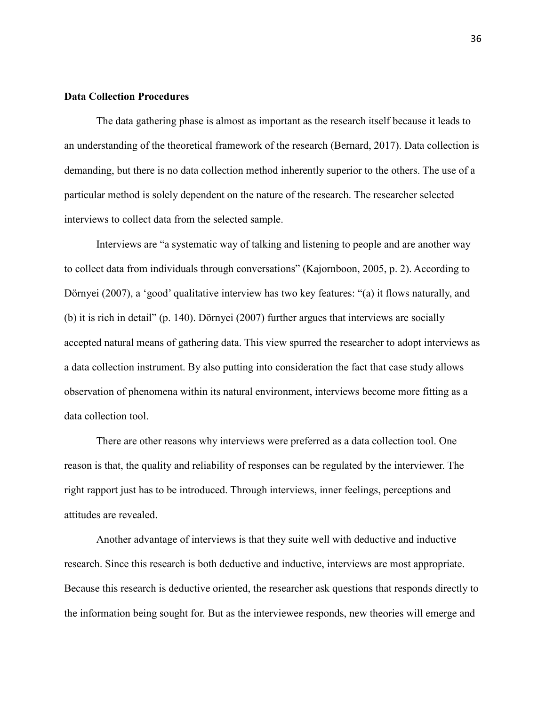#### **Data Collection Procedures**

The data gathering phase is almost as important as the research itself because it leads to an understanding of the theoretical framework of the research (Bernard, 2017). Data collection is demanding, but there is no data collection method inherently superior to the others. The use of a particular method is solely dependent on the nature of the research. The researcher selected interviews to collect data from the selected sample.

Interviews are "a systematic way of talking and listening to people and are another way to collect data from individuals through conversations" (Kajornboon, 2005, p. 2). According to Dörnyei (2007), a 'good' qualitative interview has two key features: "(a) it flows naturally, and (b) it is rich in detail" (p. 140). Dörnyei (2007) further argues that interviews are socially accepted natural means of gathering data. This view spurred the researcher to adopt interviews as a data collection instrument. By also putting into consideration the fact that case study allows observation of phenomena within its natural environment, interviews become more fitting as a data collection tool.

There are other reasons why interviews were preferred as a data collection tool. One reason is that, the quality and reliability of responses can be regulated by the interviewer. The right rapport just has to be introduced. Through interviews, inner feelings, perceptions and attitudes are revealed.

Another advantage of interviews is that they suite well with deductive and inductive research. Since this research is both deductive and inductive, interviews are most appropriate. Because this research is deductive oriented, the researcher ask questions that responds directly to the information being sought for. But as the interviewee responds, new theories will emerge and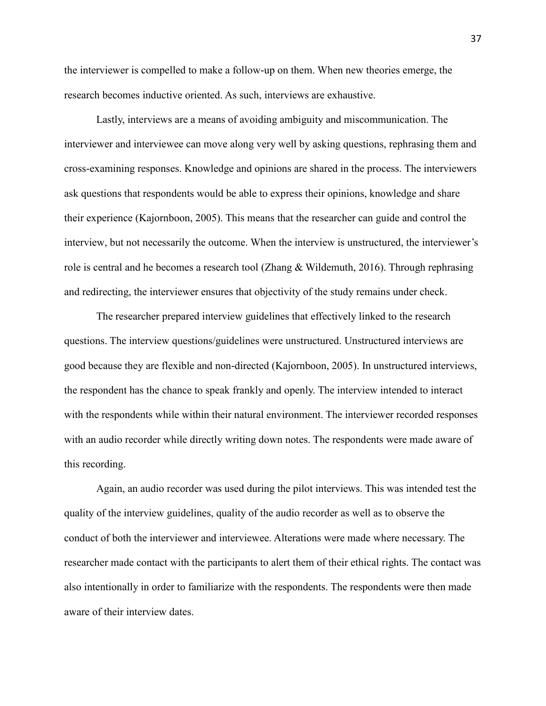the interviewer is compelled to make a follow-up on them. When new theories emerge, the research becomes inductive oriented. As such, interviews are exhaustive.

Lastly, interviews are a means of avoiding ambiguity and miscommunication. The interviewer and interviewee can move along very well by asking questions, rephrasing them and cross-examining responses. Knowledge and opinions are shared in the process. The interviewers ask questions that respondents would be able to express their opinions, knowledge and share their experience (Kajornboon, 2005). This means that the researcher can guide and control the interview, but not necessarily the outcome. When the interview is unstructured, the interviewer's role is central and he becomes a research tool (Zhang & Wildemuth, 2016). Through rephrasing and redirecting, the interviewer ensures that objectivity of the study remains under check.

The researcher prepared interview guidelines that effectively linked to the research questions. The interview questions/guidelines were unstructured. Unstructured interviews are good because they are flexible and non-directed (Kajornboon, 2005). In unstructured interviews, the respondent has the chance to speak frankly and openly. The interview intended to interact with the respondents while within their natural environment. The interviewer recorded responses with an audio recorder while directly writing down notes. The respondents were made aware of this recording.

Again, an audio recorder was used during the pilot interviews. This was intended test the quality of the interview guidelines, quality of the audio recorder as well as to observe the conduct of both the interviewer and interviewee. Alterations were made where necessary. The researcher made contact with the participants to alert them of their ethical rights. The contact was also intentionally in order to familiarize with the respondents. The respondents were then made aware of their interview dates.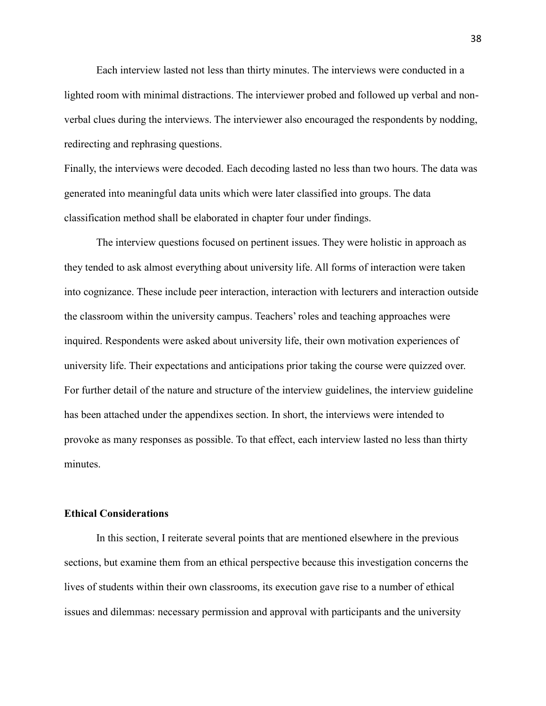Each interview lasted not less than thirty minutes. The interviews were conducted in a lighted room with minimal distractions. The interviewer probed and followed up verbal and nonverbal clues during the interviews. The interviewer also encouraged the respondents by nodding, redirecting and rephrasing questions.

Finally, the interviews were decoded. Each decoding lasted no less than two hours. The data was generated into meaningful data units which were later classified into groups. The data classification method shall be elaborated in chapter four under findings.

The interview questions focused on pertinent issues. They were holistic in approach as they tended to ask almost everything about university life. All forms of interaction were taken into cognizance. These include peer interaction, interaction with lecturers and interaction outside the classroom within the university campus. Teachers' roles and teaching approaches were inquired. Respondents were asked about university life, their own motivation experiences of university life. Their expectations and anticipations prior taking the course were quizzed over. For further detail of the nature and structure of the interview guidelines, the interview guideline has been attached under the appendixes section. In short, the interviews were intended to provoke as many responses as possible. To that effect, each interview lasted no less than thirty minutes.

### **Ethical Considerations**

In this section, I reiterate several points that are mentioned elsewhere in the previous sections, but examine them from an ethical perspective because this investigation concerns the lives of students within their own classrooms, its execution gave rise to a number of ethical issues and dilemmas: necessary permission and approval with participants and the university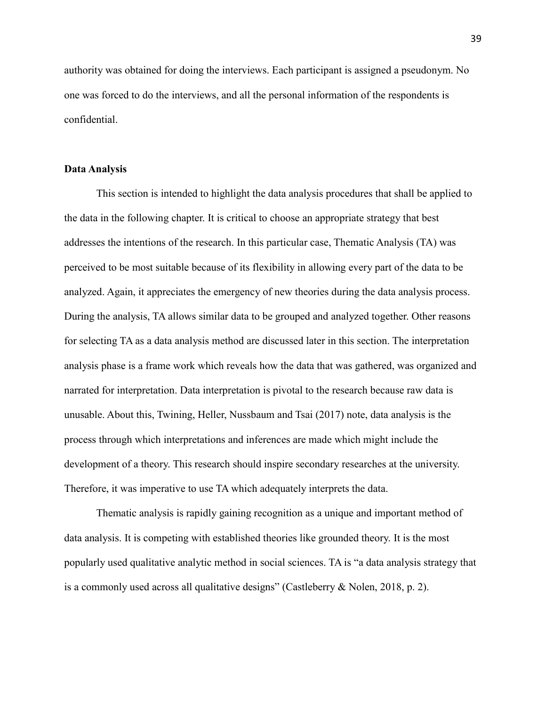authority was obtained for doing the interviews. Each participant is assigned a pseudonym. No one was forced to do the interviews, and all the personal information of the respondents is confidential.

#### **Data Analysis**

This section is intended to highlight the data analysis procedures that shall be applied to the data in the following chapter. It is critical to choose an appropriate strategy that best addresses the intentions of the research. In this particular case, Thematic Analysis (TA) was perceived to be most suitable because of its flexibility in allowing every part of the data to be analyzed. Again, it appreciates the emergency of new theories during the data analysis process. During the analysis, TA allows similar data to be grouped and analyzed together. Other reasons for selecting TA as a data analysis method are discussed later in this section. The interpretation analysis phase is a frame work which reveals how the data that was gathered, was organized and narrated for interpretation. Data interpretation is pivotal to the research because raw data is unusable. About this, Twining, Heller, Nussbaum and Tsai (2017) note, data analysis is the process through which interpretations and inferences are made which might include the development of a theory. This research should inspire secondary researches at the university. Therefore, it was imperative to use TA which adequately interprets the data.

Thematic analysis is rapidly gaining recognition as a unique and important method of data analysis. It is competing with established theories like grounded theory. It is the most popularly used qualitative analytic method in social sciences. TA is "a data analysis strategy that is a commonly used across all qualitative designs" (Castleberry & Nolen, 2018, p. 2).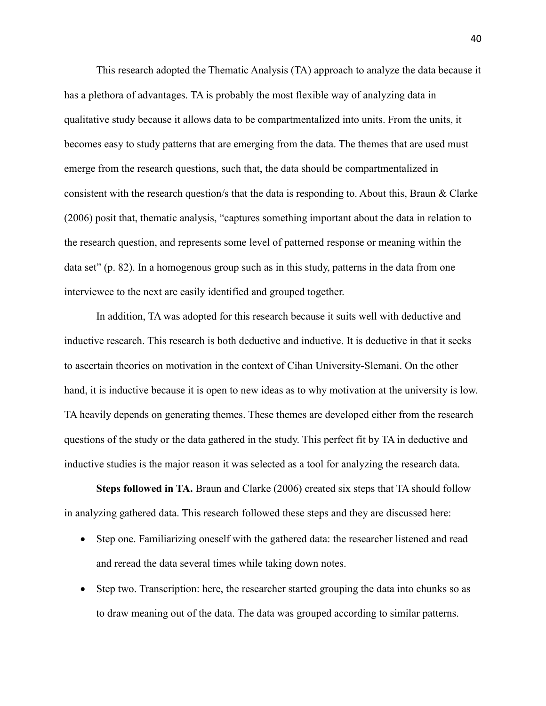This research adopted the Thematic Analysis (TA) approach to analyze the data because it has a plethora of advantages. TA is probably the most flexible way of analyzing data in qualitative study because it allows data to be compartmentalized into units. From the units, it becomes easy to study patterns that are emerging from the data. The themes that are used must emerge from the research questions, such that, the data should be compartmentalized in consistent with the research question/s that the data is responding to. About this, Braun & Clarke (2006) posit that, thematic analysis, "captures something important about the data in relation to the research question, and represents some level of patterned response or meaning within the data set" (p. 82). In a homogenous group such as in this study, patterns in the data from one interviewee to the next are easily identified and grouped together.

In addition, TA was adopted for this research because it suits well with deductive and inductive research. This research is both deductive and inductive. It is deductive in that it seeks to ascertain theories on motivation in the context of Cihan University-Slemani. On the other hand, it is inductive because it is open to new ideas as to why motivation at the university is low. TA heavily depends on generating themes. These themes are developed either from the research questions of the study or the data gathered in the study. This perfect fit by TA in deductive and inductive studies is the major reason it was selected as a tool for analyzing the research data.

**Steps followed in TA.** Braun and Clarke (2006) created six steps that TA should follow in analyzing gathered data. This research followed these steps and they are discussed here:

- Step one. Familiarizing oneself with the gathered data: the researcher listened and read and reread the data several times while taking down notes.
- Step two. Transcription: here, the researcher started grouping the data into chunks so as to draw meaning out of the data. The data was grouped according to similar patterns.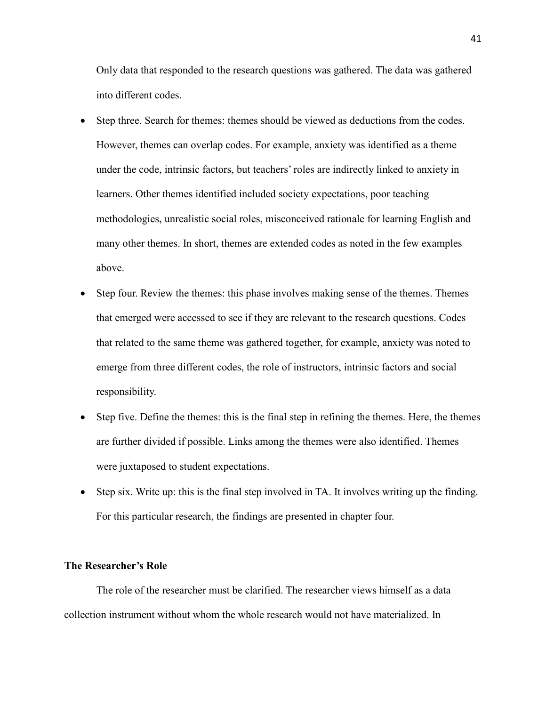Only data that responded to the research questions was gathered. The data was gathered into different codes.

- Step three. Search for themes: themes should be viewed as deductions from the codes. However, themes can overlap codes. For example, anxiety was identified as a theme under the code, intrinsic factors, but teachers" roles are indirectly linked to anxiety in learners. Other themes identified included society expectations, poor teaching methodologies, unrealistic social roles, misconceived rationale for learning English and many other themes. In short, themes are extended codes as noted in the few examples above.
- Step four. Review the themes: this phase involves making sense of the themes. Themes that emerged were accessed to see if they are relevant to the research questions. Codes that related to the same theme was gathered together, for example, anxiety was noted to emerge from three different codes, the role of instructors, intrinsic factors and social responsibility.
- Step five. Define the themes: this is the final step in refining the themes. Here, the themes are further divided if possible. Links among the themes were also identified. Themes were juxtaposed to student expectations.
- Step six. Write up: this is the final step involved in TA. It involves writing up the finding. For this particular research, the findings are presented in chapter four.

# **The Researcher's Role**

The role of the researcher must be clarified. The researcher views himself as a data collection instrument without whom the whole research would not have materialized. In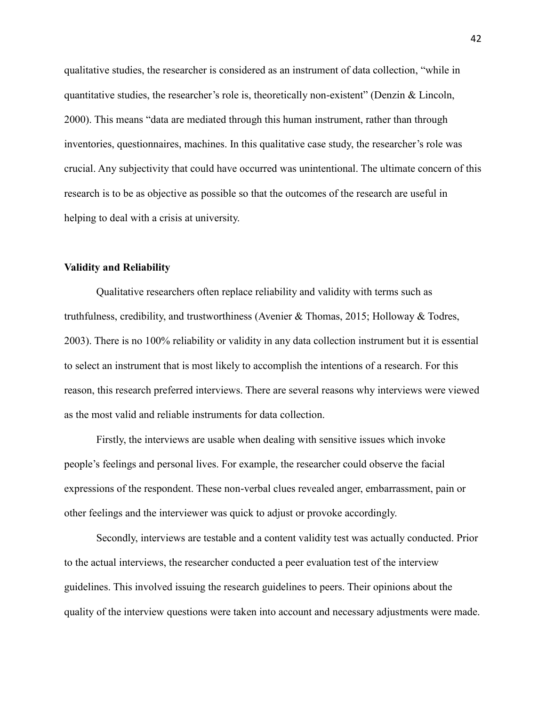qualitative studies, the researcher is considered as an instrument of data collection, "while in quantitative studies, the researcher"s role is, theoretically non-existent" (Denzin & Lincoln, 2000). This means "data are mediated through this human instrument, rather than through inventories, questionnaires, machines. In this qualitative case study, the researcher's role was crucial. Any subjectivity that could have occurred was unintentional. The ultimate concern of this research is to be as objective as possible so that the outcomes of the research are useful in helping to deal with a crisis at university.

# **Validity and Reliability**

Qualitative researchers often replace reliability and validity with terms such as truthfulness, credibility, and trustworthiness (Avenier & Thomas, 2015; Holloway & Todres, 2003). There is no 100% reliability or validity in any data collection instrument but it is essential to select an instrument that is most likely to accomplish the intentions of a research. For this reason, this research preferred interviews. There are several reasons why interviews were viewed as the most valid and reliable instruments for data collection.

Firstly, the interviews are usable when dealing with sensitive issues which invoke people"s feelings and personal lives. For example, the researcher could observe the facial expressions of the respondent. These non-verbal clues revealed anger, embarrassment, pain or other feelings and the interviewer was quick to adjust or provoke accordingly.

Secondly, interviews are testable and a content validity test was actually conducted. Prior to the actual interviews, the researcher conducted a peer evaluation test of the interview guidelines. This involved issuing the research guidelines to peers. Their opinions about the quality of the interview questions were taken into account and necessary adjustments were made.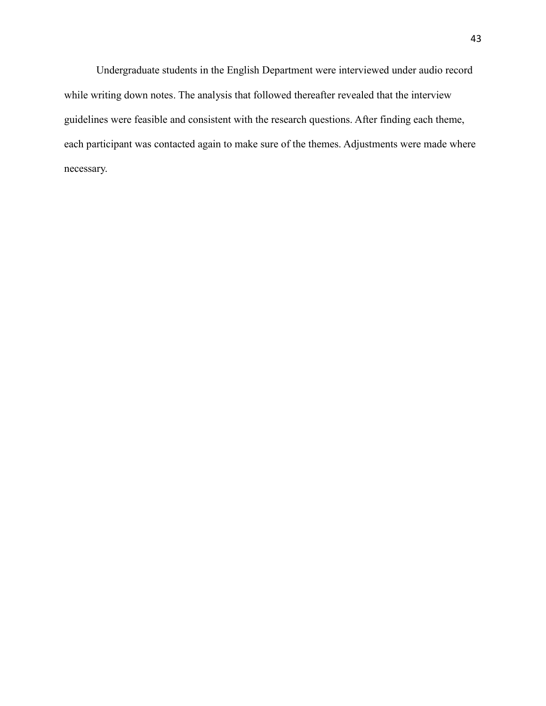Undergraduate students in the English Department were interviewed under audio record while writing down notes. The analysis that followed thereafter revealed that the interview guidelines were feasible and consistent with the research questions. After finding each theme, each participant was contacted again to make sure of the themes. Adjustments were made where necessary.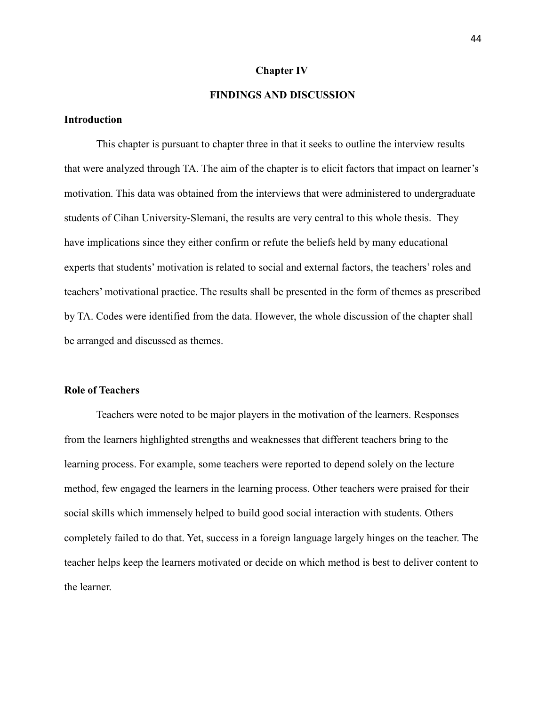#### **Chapter IV**

# **FINDINGS AND DISCUSSION**

# **Introduction**

This chapter is pursuant to chapter three in that it seeks to outline the interview results that were analyzed through TA. The aim of the chapter is to elicit factors that impact on learner"s motivation. This data was obtained from the interviews that were administered to undergraduate students of Cihan University-Slemani, the results are very central to this whole thesis. They have implications since they either confirm or refute the beliefs held by many educational experts that students" motivation is related to social and external factors, the teachers" roles and teachers" motivational practice. The results shall be presented in the form of themes as prescribed by TA. Codes were identified from the data. However, the whole discussion of the chapter shall be arranged and discussed as themes.

#### **Role of Teachers**

Teachers were noted to be major players in the motivation of the learners. Responses from the learners highlighted strengths and weaknesses that different teachers bring to the learning process. For example, some teachers were reported to depend solely on the lecture method, few engaged the learners in the learning process. Other teachers were praised for their social skills which immensely helped to build good social interaction with students. Others completely failed to do that. Yet, success in a foreign language largely hinges on the teacher. The teacher helps keep the learners motivated or decide on which method is best to deliver content to the learner.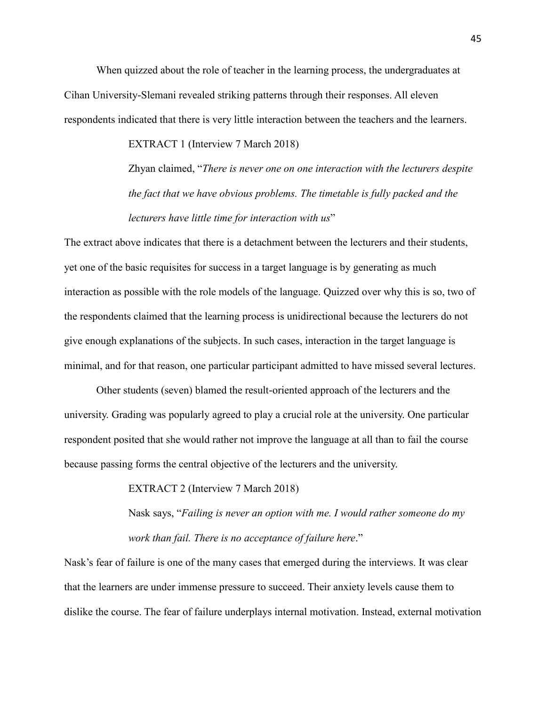When quizzed about the role of teacher in the learning process, the undergraduates at Cihan University-Slemani revealed striking patterns through their responses. All eleven respondents indicated that there is very little interaction between the teachers and the learners.

EXTRACT 1 (Interview 7 March 2018)

Zhyan claimed, "*There is never one on one interaction with the lecturers despite the fact that we have obvious problems. The timetable is fully packed and the lecturers have little time for interaction with us*"

The extract above indicates that there is a detachment between the lecturers and their students, yet one of the basic requisites for success in a target language is by generating as much interaction as possible with the role models of the language. Quizzed over why this is so, two of the respondents claimed that the learning process is unidirectional because the lecturers do not give enough explanations of the subjects. In such cases, interaction in the target language is minimal, and for that reason, one particular participant admitted to have missed several lectures.

Other students (seven) blamed the result-oriented approach of the lecturers and the university. Grading was popularly agreed to play a crucial role at the university. One particular respondent posited that she would rather not improve the language at all than to fail the course because passing forms the central objective of the lecturers and the university.

EXTRACT 2 (Interview 7 March 2018)

Nask says, "*Failing is never an option with me. I would rather someone do my work than fail. There is no acceptance of failure here*."

Nask"s fear of failure is one of the many cases that emerged during the interviews. It was clear that the learners are under immense pressure to succeed. Their anxiety levels cause them to dislike the course. The fear of failure underplays internal motivation. Instead, external motivation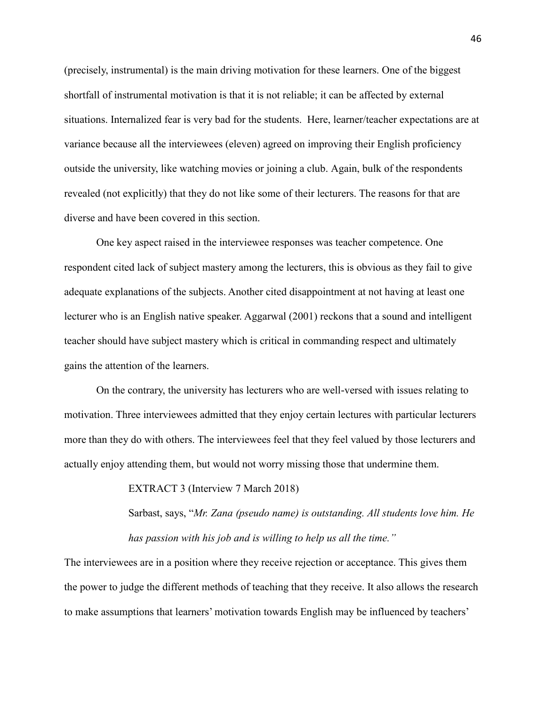(precisely, instrumental) is the main driving motivation for these learners. One of the biggest shortfall of instrumental motivation is that it is not reliable; it can be affected by external situations. Internalized fear is very bad for the students. Here, learner/teacher expectations are at variance because all the interviewees (eleven) agreed on improving their English proficiency outside the university, like watching movies or joining a club. Again, bulk of the respondents revealed (not explicitly) that they do not like some of their lecturers. The reasons for that are diverse and have been covered in this section.

One key aspect raised in the interviewee responses was teacher competence. One respondent cited lack of subject mastery among the lecturers, this is obvious as they fail to give adequate explanations of the subjects. Another cited disappointment at not having at least one lecturer who is an English native speaker. Aggarwal (2001) reckons that a sound and intelligent teacher should have subject mastery which is critical in commanding respect and ultimately gains the attention of the learners.

On the contrary, the university has lecturers who are well-versed with issues relating to motivation. Three interviewees admitted that they enjoy certain lectures with particular lecturers more than they do with others. The interviewees feel that they feel valued by those lecturers and actually enjoy attending them, but would not worry missing those that undermine them.

EXTRACT 3 (Interview 7 March 2018)

Sarbast, says, "*Mr. Zana (pseudo name) is outstanding. All students love him. He has passion with his job and is willing to help us all the time."*

The interviewees are in a position where they receive rejection or acceptance. This gives them the power to judge the different methods of teaching that they receive. It also allows the research to make assumptions that learners" motivation towards English may be influenced by teachers"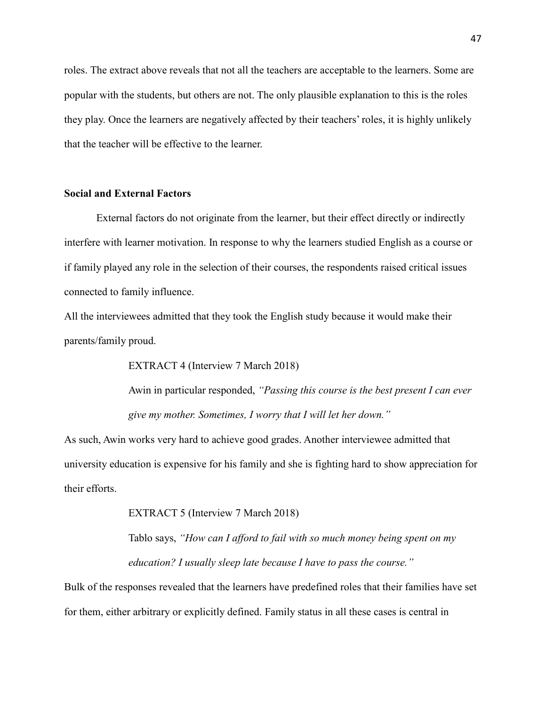roles. The extract above reveals that not all the teachers are acceptable to the learners. Some are popular with the students, but others are not. The only plausible explanation to this is the roles they play. Once the learners are negatively affected by their teachers" roles, it is highly unlikely that the teacher will be effective to the learner.

# **Social and External Factors**

External factors do not originate from the learner, but their effect directly or indirectly interfere with learner motivation. In response to why the learners studied English as a course or if family played any role in the selection of their courses, the respondents raised critical issues connected to family influence.

All the interviewees admitted that they took the English study because it would make their parents/family proud.

EXTRACT 4 (Interview 7 March 2018)

Awin in particular responded, *"Passing this course is the best present I can ever give my mother. Sometimes, I worry that I will let her down."*

As such, Awin works very hard to achieve good grades. Another interviewee admitted that university education is expensive for his family and she is fighting hard to show appreciation for their efforts.

EXTRACT 5 (Interview 7 March 2018)

Tablo says, *"How can I afford to fail with so much money being spent on my education? I usually sleep late because I have to pass the course."*

Bulk of the responses revealed that the learners have predefined roles that their families have set for them, either arbitrary or explicitly defined. Family status in all these cases is central in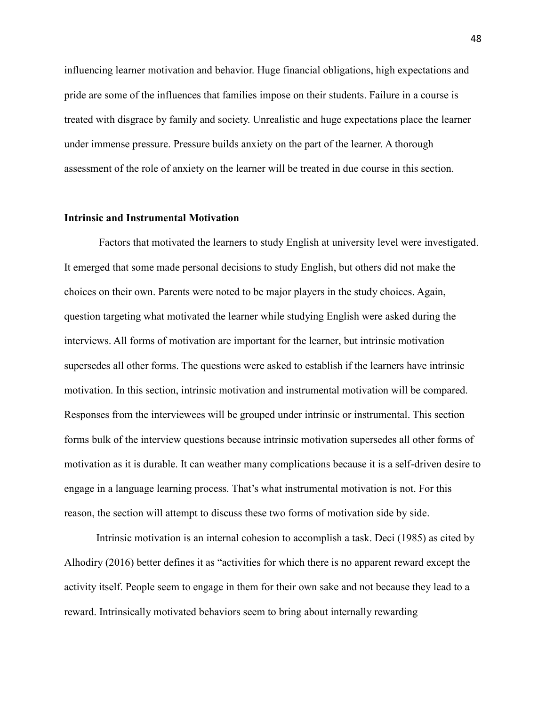influencing learner motivation and behavior. Huge financial obligations, high expectations and pride are some of the influences that families impose on their students. Failure in a course is treated with disgrace by family and society. Unrealistic and huge expectations place the learner under immense pressure. Pressure builds anxiety on the part of the learner. A thorough assessment of the role of anxiety on the learner will be treated in due course in this section.

#### **Intrinsic and Instrumental Motivation**

Factors that motivated the learners to study English at university level were investigated. It emerged that some made personal decisions to study English, but others did not make the choices on their own. Parents were noted to be major players in the study choices. Again, question targeting what motivated the learner while studying English were asked during the interviews. All forms of motivation are important for the learner, but intrinsic motivation supersedes all other forms. The questions were asked to establish if the learners have intrinsic motivation. In this section, intrinsic motivation and instrumental motivation will be compared. Responses from the interviewees will be grouped under intrinsic or instrumental. This section forms bulk of the interview questions because intrinsic motivation supersedes all other forms of motivation as it is durable. It can weather many complications because it is a self-driven desire to engage in a language learning process. That"s what instrumental motivation is not. For this reason, the section will attempt to discuss these two forms of motivation side by side.

Intrinsic motivation is an internal cohesion to accomplish a task. Deci (1985) as cited by Alhodiry (2016) better defines it as "activities for which there is no apparent reward except the activity itself. People seem to engage in them for their own sake and not because they lead to a reward. Intrinsically motivated behaviors seem to bring about internally rewarding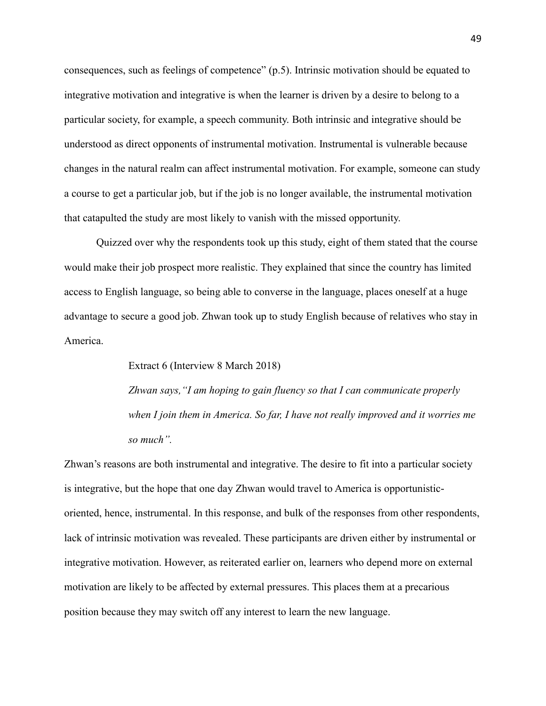consequences, such as feelings of competence" (p.5). Intrinsic motivation should be equated to integrative motivation and integrative is when the learner is driven by a desire to belong to a particular society, for example, a speech community. Both intrinsic and integrative should be understood as direct opponents of instrumental motivation. Instrumental is vulnerable because changes in the natural realm can affect instrumental motivation. For example, someone can study a course to get a particular job, but if the job is no longer available, the instrumental motivation that catapulted the study are most likely to vanish with the missed opportunity.

Quizzed over why the respondents took up this study, eight of them stated that the course would make their job prospect more realistic. They explained that since the country has limited access to English language, so being able to converse in the language, places oneself at a huge advantage to secure a good job. Zhwan took up to study English because of relatives who stay in America.

Extract 6 (Interview 8 March 2018)

*Zhwan says,"I am hoping to gain fluency so that I can communicate properly when I join them in America. So far, I have not really improved and it worries me so much".* 

Zhwan"s reasons are both instrumental and integrative. The desire to fit into a particular society is integrative, but the hope that one day Zhwan would travel to America is opportunisticoriented, hence, instrumental. In this response, and bulk of the responses from other respondents, lack of intrinsic motivation was revealed. These participants are driven either by instrumental or integrative motivation. However, as reiterated earlier on, learners who depend more on external motivation are likely to be affected by external pressures. This places them at a precarious position because they may switch off any interest to learn the new language.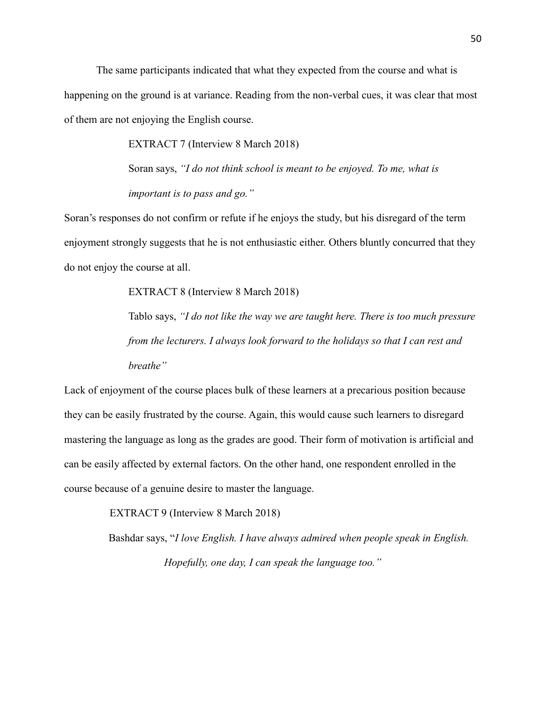The same participants indicated that what they expected from the course and what is happening on the ground is at variance. Reading from the non-verbal cues, it was clear that most of them are not enjoying the English course.

EXTRACT 7 (Interview 8 March 2018)

Soran says, *"I do not think school is meant to be enjoyed. To me, what is important is to pass and go."*

Soran"s responses do not confirm or refute if he enjoys the study, but his disregard of the term enjoyment strongly suggests that he is not enthusiastic either. Others bluntly concurred that they do not enjoy the course at all.

EXTRACT 8 (Interview 8 March 2018)

Tablo says, *"I do not like the way we are taught here. There is too much pressure from the lecturers. I always look forward to the holidays so that I can rest and breathe"* 

Lack of enjoyment of the course places bulk of these learners at a precarious position because they can be easily frustrated by the course. Again, this would cause such learners to disregard mastering the language as long as the grades are good. Their form of motivation is artificial and can be easily affected by external factors. On the other hand, one respondent enrolled in the course because of a genuine desire to master the language.

EXTRACT 9 (Interview 8 March 2018)

Bashdar says, "*I love English. I have always admired when people speak in English. Hopefully, one day, I can speak the language too."*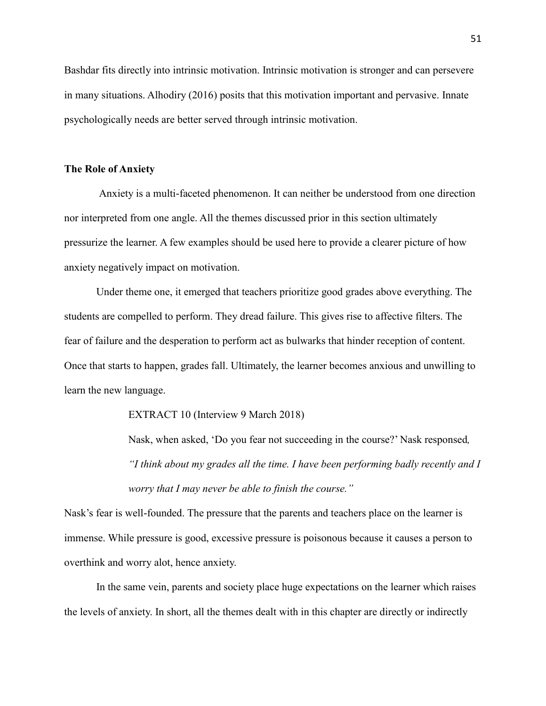Bashdar fits directly into intrinsic motivation. Intrinsic motivation is stronger and can persevere in many situations. Alhodiry (2016) posits that this motivation important and pervasive. Innate psychologically needs are better served through intrinsic motivation.

## **The Role of Anxiety**

Anxiety is a multi-faceted phenomenon. It can neither be understood from one direction nor interpreted from one angle. All the themes discussed prior in this section ultimately pressurize the learner. A few examples should be used here to provide a clearer picture of how anxiety negatively impact on motivation.

Under theme one, it emerged that teachers prioritize good grades above everything. The students are compelled to perform. They dread failure. This gives rise to affective filters. The fear of failure and the desperation to perform act as bulwarks that hinder reception of content. Once that starts to happen, grades fall. Ultimately, the learner becomes anxious and unwilling to learn the new language.

EXTRACT 10 (Interview 9 March 2018)

Nask, when asked, "Do you fear not succeeding in the course?" Nask responsed*, "I think about my grades all the time. I have been performing badly recently and I worry that I may never be able to finish the course."* 

Nask"s fear is well-founded. The pressure that the parents and teachers place on the learner is immense. While pressure is good, excessive pressure is poisonous because it causes a person to overthink and worry alot, hence anxiety.

In the same vein, parents and society place huge expectations on the learner which raises the levels of anxiety. In short, all the themes dealt with in this chapter are directly or indirectly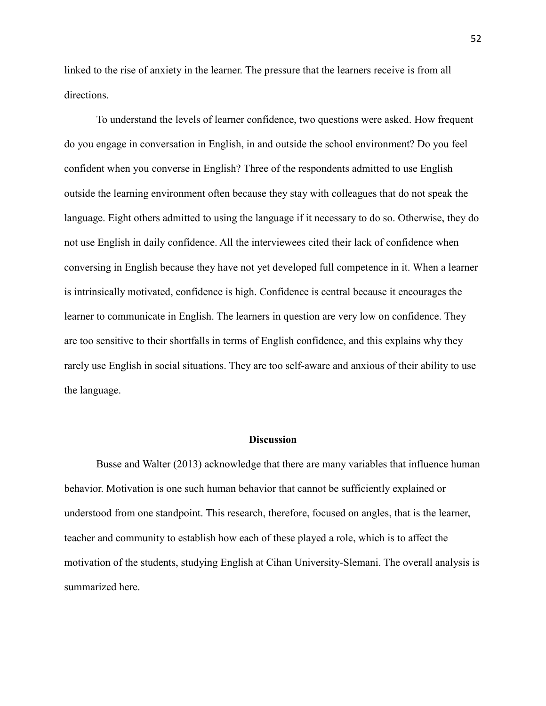linked to the rise of anxiety in the learner. The pressure that the learners receive is from all directions.

To understand the levels of learner confidence, two questions were asked. How frequent do you engage in conversation in English, in and outside the school environment? Do you feel confident when you converse in English? Three of the respondents admitted to use English outside the learning environment often because they stay with colleagues that do not speak the language. Eight others admitted to using the language if it necessary to do so. Otherwise, they do not use English in daily confidence. All the interviewees cited their lack of confidence when conversing in English because they have not yet developed full competence in it. When a learner is intrinsically motivated, confidence is high. Confidence is central because it encourages the learner to communicate in English. The learners in question are very low on confidence. They are too sensitive to their shortfalls in terms of English confidence, and this explains why they rarely use English in social situations. They are too self-aware and anxious of their ability to use the language.

#### **Discussion**

Busse and Walter (2013) acknowledge that there are many variables that influence human behavior. Motivation is one such human behavior that cannot be sufficiently explained or understood from one standpoint. This research, therefore, focused on angles, that is the learner, teacher and community to establish how each of these played a role, which is to affect the motivation of the students, studying English at Cihan University-Slemani. The overall analysis is summarized here.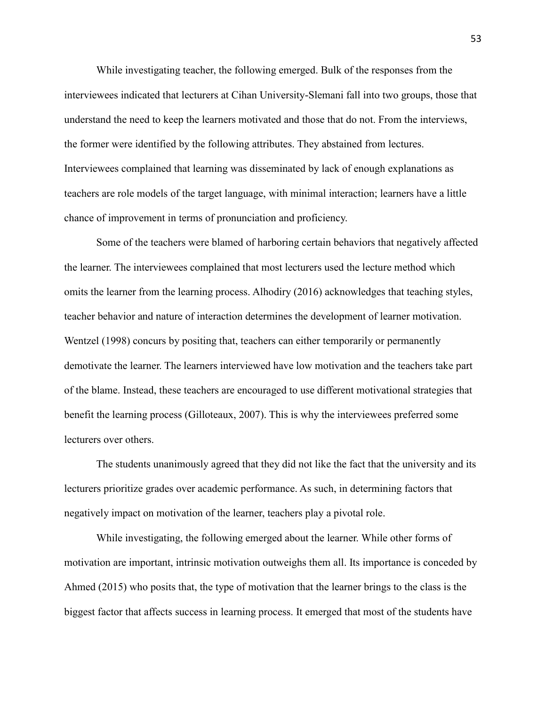While investigating teacher, the following emerged. Bulk of the responses from the interviewees indicated that lecturers at Cihan University-Slemani fall into two groups, those that understand the need to keep the learners motivated and those that do not. From the interviews, the former were identified by the following attributes. They abstained from lectures. Interviewees complained that learning was disseminated by lack of enough explanations as teachers are role models of the target language, with minimal interaction; learners have a little chance of improvement in terms of pronunciation and proficiency.

Some of the teachers were blamed of harboring certain behaviors that negatively affected the learner. The interviewees complained that most lecturers used the lecture method which omits the learner from the learning process. Alhodiry (2016) acknowledges that teaching styles, teacher behavior and nature of interaction determines the development of learner motivation. Wentzel (1998) concurs by positing that, teachers can either temporarily or permanently demotivate the learner. The learners interviewed have low motivation and the teachers take part of the blame. Instead, these teachers are encouraged to use different motivational strategies that benefit the learning process (Gilloteaux, 2007). This is why the interviewees preferred some lecturers over others.

The students unanimously agreed that they did not like the fact that the university and its lecturers prioritize grades over academic performance. As such, in determining factors that negatively impact on motivation of the learner, teachers play a pivotal role.

While investigating, the following emerged about the learner. While other forms of motivation are important, intrinsic motivation outweighs them all. Its importance is conceded by Ahmed (2015) who posits that, the type of motivation that the learner brings to the class is the biggest factor that affects success in learning process. It emerged that most of the students have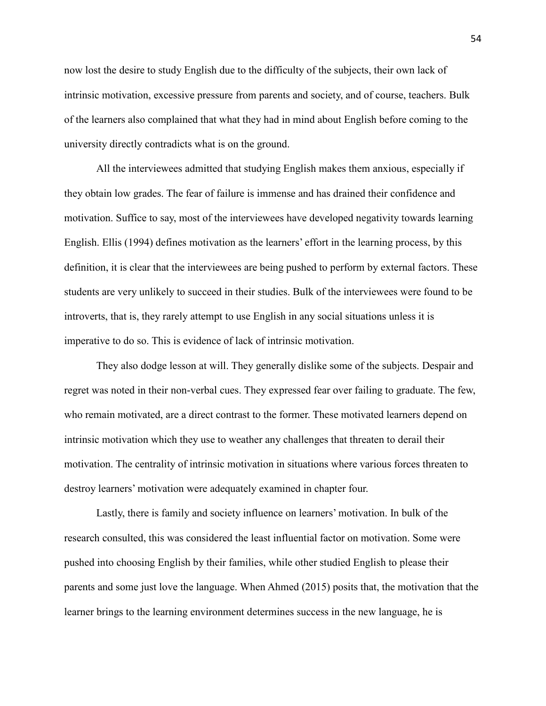now lost the desire to study English due to the difficulty of the subjects, their own lack of intrinsic motivation, excessive pressure from parents and society, and of course, teachers. Bulk of the learners also complained that what they had in mind about English before coming to the university directly contradicts what is on the ground.

All the interviewees admitted that studying English makes them anxious, especially if they obtain low grades. The fear of failure is immense and has drained their confidence and motivation. Suffice to say, most of the interviewees have developed negativity towards learning English. Ellis (1994) defines motivation as the learners' effort in the learning process, by this definition, it is clear that the interviewees are being pushed to perform by external factors. These students are very unlikely to succeed in their studies. Bulk of the interviewees were found to be introverts, that is, they rarely attempt to use English in any social situations unless it is imperative to do so. This is evidence of lack of intrinsic motivation.

They also dodge lesson at will. They generally dislike some of the subjects. Despair and regret was noted in their non-verbal cues. They expressed fear over failing to graduate. The few, who remain motivated, are a direct contrast to the former. These motivated learners depend on intrinsic motivation which they use to weather any challenges that threaten to derail their motivation. The centrality of intrinsic motivation in situations where various forces threaten to destroy learners' motivation were adequately examined in chapter four.

Lastly, there is family and society influence on learners' motivation. In bulk of the research consulted, this was considered the least influential factor on motivation. Some were pushed into choosing English by their families, while other studied English to please their parents and some just love the language. When Ahmed (2015) posits that, the motivation that the learner brings to the learning environment determines success in the new language, he is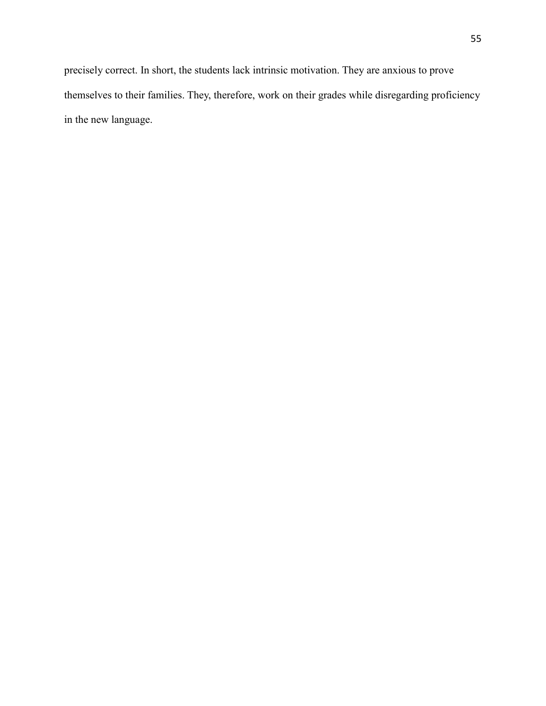precisely correct. In short, the students lack intrinsic motivation. They are anxious to prove themselves to their families. They, therefore, work on their grades while disregarding proficiency in the new language.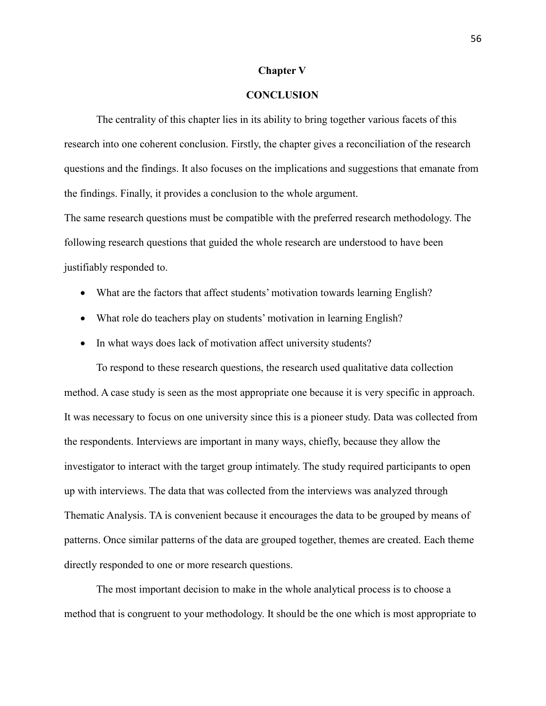#### **Chapter V**

# **CONCLUSION**

The centrality of this chapter lies in its ability to bring together various facets of this research into one coherent conclusion. Firstly, the chapter gives a reconciliation of the research questions and the findings. It also focuses on the implications and suggestions that emanate from the findings. Finally, it provides a conclusion to the whole argument.

The same research questions must be compatible with the preferred research methodology. The following research questions that guided the whole research are understood to have been justifiably responded to.

- What are the factors that affect students' motivation towards learning English?
- What role do teachers play on students' motivation in learning English?
- In what ways does lack of motivation affect university students?

To respond to these research questions, the research used qualitative data collection method. A case study is seen as the most appropriate one because it is very specific in approach. It was necessary to focus on one university since this is a pioneer study. Data was collected from the respondents. Interviews are important in many ways, chiefly, because they allow the investigator to interact with the target group intimately. The study required participants to open up with interviews. The data that was collected from the interviews was analyzed through Thematic Analysis. TA is convenient because it encourages the data to be grouped by means of patterns. Once similar patterns of the data are grouped together, themes are created. Each theme directly responded to one or more research questions.

The most important decision to make in the whole analytical process is to choose a method that is congruent to your methodology. It should be the one which is most appropriate to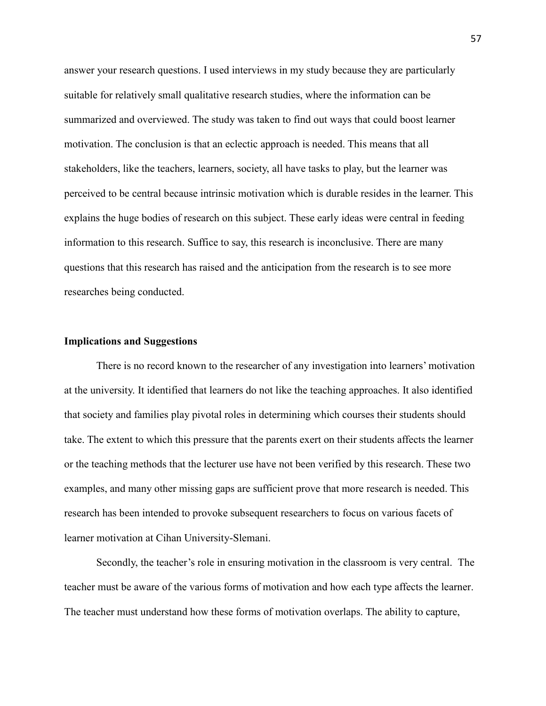answer your research questions. I used interviews in my study because they are particularly suitable for relatively small qualitative research studies, where the information can be summarized and overviewed. The study was taken to find out ways that could boost learner motivation. The conclusion is that an eclectic approach is needed. This means that all stakeholders, like the teachers, learners, society, all have tasks to play, but the learner was perceived to be central because intrinsic motivation which is durable resides in the learner. This explains the huge bodies of research on this subject. These early ideas were central in feeding information to this research. Suffice to say, this research is inconclusive. There are many questions that this research has raised and the anticipation from the research is to see more researches being conducted.

# **Implications and Suggestions**

There is no record known to the researcher of any investigation into learners' motivation at the university. It identified that learners do not like the teaching approaches. It also identified that society and families play pivotal roles in determining which courses their students should take. The extent to which this pressure that the parents exert on their students affects the learner or the teaching methods that the lecturer use have not been verified by this research. These two examples, and many other missing gaps are sufficient prove that more research is needed. This research has been intended to provoke subsequent researchers to focus on various facets of learner motivation at Cihan University-Slemani.

Secondly, the teacher's role in ensuring motivation in the classroom is very central. The teacher must be aware of the various forms of motivation and how each type affects the learner. The teacher must understand how these forms of motivation overlaps. The ability to capture,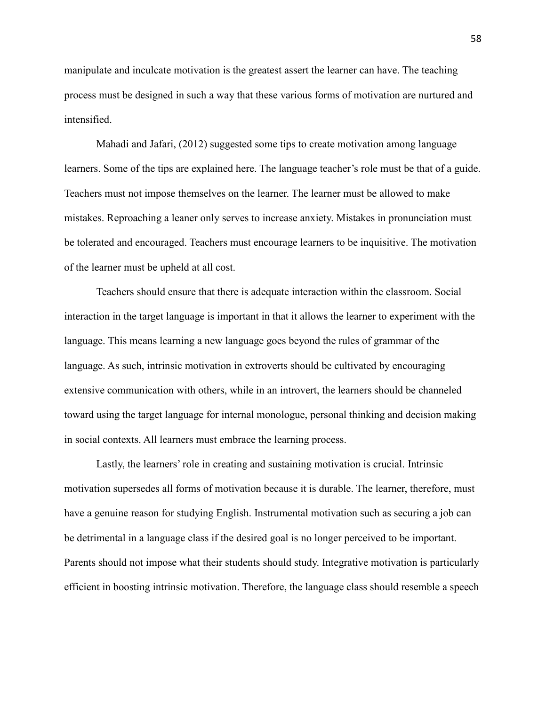manipulate and inculcate motivation is the greatest assert the learner can have. The teaching process must be designed in such a way that these various forms of motivation are nurtured and intensified.

Mahadi and Jafari, (2012) suggested some tips to create motivation among language learners. Some of the tips are explained here. The language teacher"s role must be that of a guide. Teachers must not impose themselves on the learner. The learner must be allowed to make mistakes. Reproaching a leaner only serves to increase anxiety. Mistakes in pronunciation must be tolerated and encouraged. Teachers must encourage learners to be inquisitive. The motivation of the learner must be upheld at all cost.

Teachers should ensure that there is adequate interaction within the classroom. Social interaction in the target language is important in that it allows the learner to experiment with the language. This means learning a new language goes beyond the rules of grammar of the language. As such, intrinsic motivation in extroverts should be cultivated by encouraging extensive communication with others, while in an introvert, the learners should be channeled toward using the target language for internal monologue, personal thinking and decision making in social contexts. All learners must embrace the learning process.

Lastly, the learners" role in creating and sustaining motivation is crucial. Intrinsic motivation supersedes all forms of motivation because it is durable. The learner, therefore, must have a genuine reason for studying English. Instrumental motivation such as securing a job can be detrimental in a language class if the desired goal is no longer perceived to be important. Parents should not impose what their students should study. Integrative motivation is particularly efficient in boosting intrinsic motivation. Therefore, the language class should resemble a speech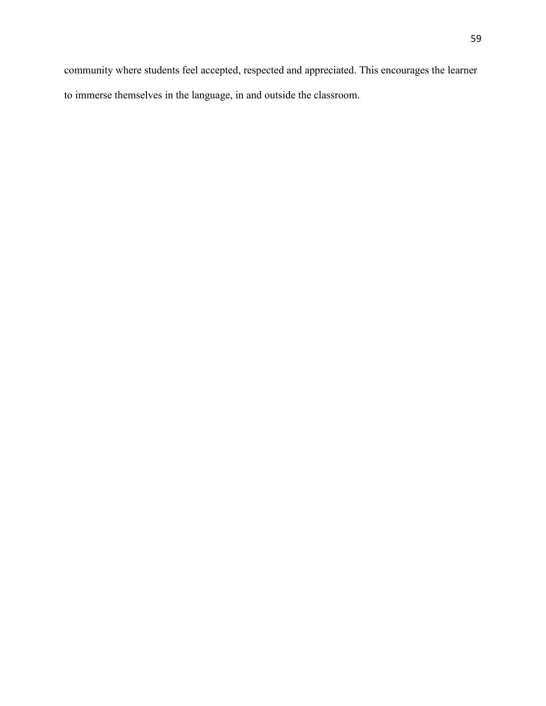community where students feel accepted, respected and appreciated. This encourages the learner to immerse themselves in the language, in and outside the classroom.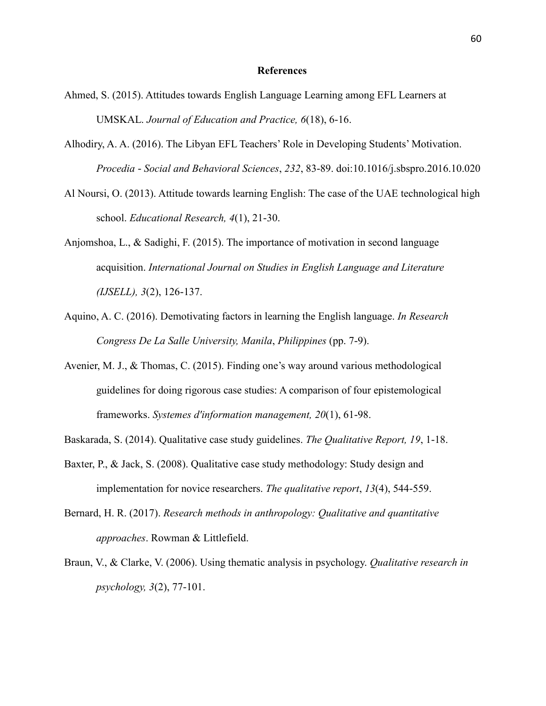#### **References**

- Ahmed, S. (2015). Attitudes towards English Language Learning among EFL Learners at UMSKAL. *Journal of Education and Practice, 6*(18), 6-16.
- Alhodiry, A. A. (2016). The Libyan EFL Teachers" Role in Developing Students" Motivation. *Procedia - Social and Behavioral Sciences*, *232*, 83-89. doi:10.1016/j.sbspro.2016.10.020
- Al Noursi, O. (2013). Attitude towards learning English: The case of the UAE technological high school. *Educational Research, 4*(1), 21-30.
- Anjomshoa, L., & Sadighi, F. (2015). The importance of motivation in second language acquisition. *International Journal on Studies in English Language and Literature (IJSELL), 3*(2), 126-137.
- Aquino, A. C. (2016). Demotivating factors in learning the English language. *In Research Congress De La Salle University, Manila*, *Philippines* (pp. 7-9).
- Avenier, M. J., & Thomas, C. (2015). Finding one"s way around various methodological guidelines for doing rigorous case studies: A comparison of four epistemological frameworks. *Systemes d'information management, 20*(1), 61-98.
- Baskarada, S. (2014). Qualitative case study guidelines. *The Qualitative Report, 19*, 1-18.
- Baxter, P., & Jack, S. (2008). Qualitative case study methodology: Study design and implementation for novice researchers. *The qualitative report*, *13*(4), 544-559.
- Bernard, H. R. (2017). *Research methods in anthropology: Qualitative and quantitative approaches*. Rowman & Littlefield.
- Braun, V., & Clarke, V. (2006). Using thematic analysis in psychology. *Qualitative research in psychology, 3*(2), 77-101.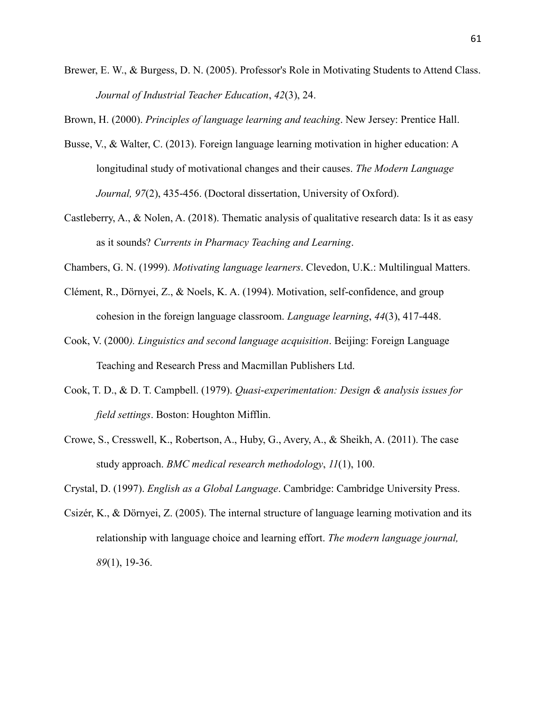Brewer, E. W., & Burgess, D. N. (2005). Professor's Role in Motivating Students to Attend Class. *Journal of Industrial Teacher Education*, *42*(3), 24.

Brown, H. (2000). *Principles of language learning and teaching*. New Jersey: Prentice Hall.

- Busse, V., & Walter, C. (2013). Foreign language learning motivation in higher education: A longitudinal study of motivational changes and their causes. *The Modern Language Journal, 97*(2), 435-456. (Doctoral dissertation, University of Oxford).
- Castleberry, A., & Nolen, A. (2018). Thematic analysis of qualitative research data: Is it as easy as it sounds? *Currents in Pharmacy Teaching and Learning*.
- Chambers, G. N. (1999). *Motivating language learners*. Clevedon, U.K.: Multilingual Matters.
- Clément, R., Dörnyei, Z., & Noels, K. A. (1994). Motivation, self-confidence, and group cohesion in the foreign language classroom. *Language learning*, *44*(3), 417-448.
- Cook, V. (2000*). Linguistics and second language acquisition*. Beijing: Foreign Language Teaching and Research Press and Macmillan Publishers Ltd.
- Cook, T. D., & D. T. Campbell. (1979). *Quasi-experimentation: Design & analysis issues for field settings*. Boston: Houghton Mifflin.
- Crowe, S., Cresswell, K., Robertson, A., Huby, G., Avery, A., & Sheikh, A. (2011). The case study approach. *BMC medical research methodology*, *11*(1), 100.

Crystal, D. (1997). *English as a Global Language*. Cambridge: Cambridge University Press.

Csizér, K., & Dörnyei, Z. (2005). The internal structure of language learning motivation and its relationship with language choice and learning effort. *The modern language journal, 89*(1), 19-36.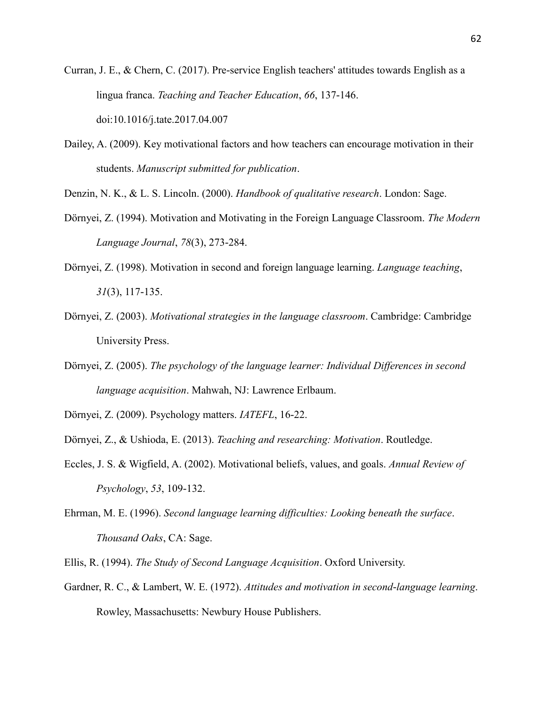- Curran, J. E., & Chern, C. (2017). Pre-service English teachers' attitudes towards English as a lingua franca. *Teaching and Teacher Education*, *66*, 137-146. doi:10.1016/j.tate.2017.04.007
- Dailey, A. (2009). Key motivational factors and how teachers can encourage motivation in their students. *Manuscript submitted for publication*.

Denzin, N. K., & L. S. Lincoln. (2000). *Handbook of qualitative research*. London: Sage.

- Dörnyei, Z. (1994). Motivation and Motivating in the Foreign Language Classroom. *The Modern Language Journal*, *78*(3), 273-284.
- Dörnyei, Z. (1998). Motivation in second and foreign language learning. *Language teaching*, *31*(3), 117-135.
- Dörnyei, Z. (2003). *Motivational strategies in the language classroom*. Cambridge: Cambridge University Press.
- Dörnyei, Z. (2005). *The psychology of the language learner: Individual Differences in second language acquisition*. Mahwah, NJ: Lawrence Erlbaum.
- Dörnyei, Z. (2009). Psychology matters. *IATEFL*, 16-22.
- Dörnyei, Z., & Ushioda, E. (2013). *Teaching and researching: Motivation*. Routledge.
- Eccles, J. S. & Wigfield, A. (2002). Motivational beliefs, values, and goals. *Annual Review of Psychology*, *53*, 109-132.
- Ehrman, M. E. (1996). *Second language learning difficulties: Looking beneath the surface*. *Thousand Oaks*, CA: Sage.

Ellis, R. (1994). *The Study of Second Language Acquisition*. Oxford University.

Gardner, R. C., & Lambert, W. E. (1972). *Attitudes and motivation in second-language learning*. Rowley, Massachusetts: Newbury House Publishers.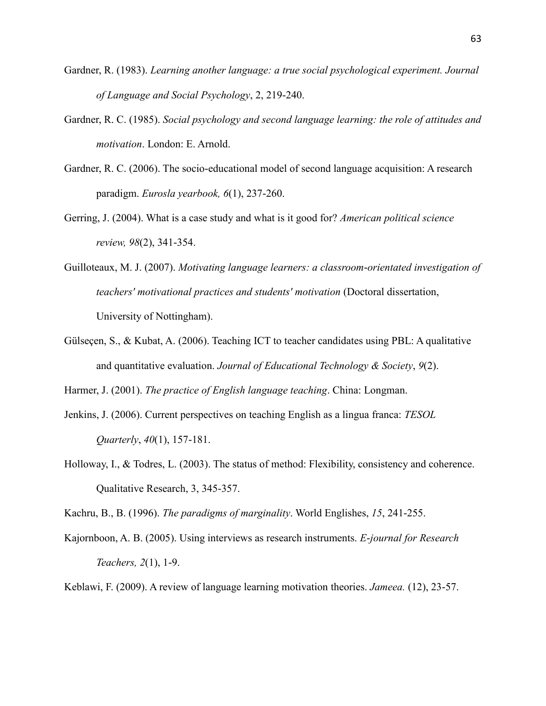- Gardner, R. (1983). *Learning another language: a true social psychological experiment. Journal of Language and Social Psychology*, 2, 219-240.
- Gardner, R. C. (1985). *Social psychology and second language learning: the role of attitudes and motivation*. London: E. Arnold.
- Gardner, R. C. (2006). The socio-educational model of second language acquisition: A research paradigm. *Eurosla yearbook, 6*(1), 237-260.
- Gerring, J. (2004). What is a case study and what is it good for? *American political science review, 98*(2), 341-354.
- Guilloteaux, M. J. (2007). *Motivating language learners: a classroom-orientated investigation of teachers' motivational practices and students' motivation* (Doctoral dissertation, University of Nottingham).
- Gülseçen, S., & Kubat, A. (2006). Teaching ICT to teacher candidates using PBL: A qualitative and quantitative evaluation. *Journal of Educational Technology & Society*, *9*(2).
- Harmer, J. (2001). *The practice of English language teaching*. China: Longman.
- Jenkins, J. (2006). Current perspectives on teaching English as a lingua franca: *TESOL Quarterly*, *40*(1), 157-181.
- Holloway, I., & Todres, L. (2003). The status of method: Flexibility, consistency and coherence. Qualitative Research, 3, 345-357.

Kachru, B., B. (1996). *The paradigms of marginality*. World Englishes, *15*, 241-255.

- Kajornboon, A. B. (2005). Using interviews as research instruments. *E-journal for Research Teachers, 2*(1), 1-9.
- Keblawi, F. (2009). A review of language learning motivation theories. *Jameea.* (12), 23-57.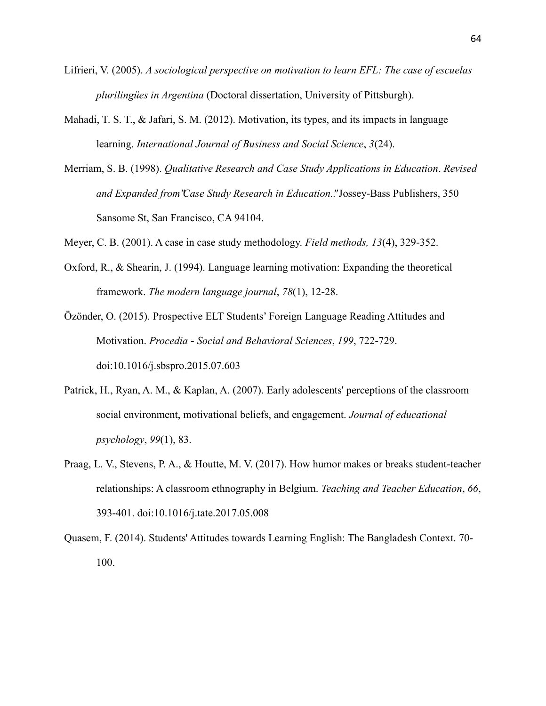- Lifrieri, V. (2005). *A sociological perspective on motivation to learn EFL: The case of escuelas plurilingües in Argentina* (Doctoral dissertation, University of Pittsburgh).
- Mahadi, T. S. T., & Jafari, S. M. (2012). Motivation, its types, and its impacts in language learning. *International Journal of Business and Social Science*, *3*(24).
- Merriam, S. B. (1998). *Qualitative Research and Case Study Applications in Education*. *Revised and Expanded from" Case Study Research in Education.".* Jossey-Bass Publishers, 350 Sansome St, San Francisco, CA 94104.
- Meyer, C. B. (2001). A case in case study methodology. *Field methods, 13*(4), 329-352.
- Oxford, R., & Shearin, J. (1994). Language learning motivation: Expanding the theoretical framework. *The modern language journal*, *78*(1), 12-28.
- Özönder, O. (2015). Prospective ELT Students" Foreign Language Reading Attitudes and Motivation. *Procedia - Social and Behavioral Sciences*, *199*, 722-729. doi:10.1016/j.sbspro.2015.07.603
- Patrick, H., Ryan, A. M., & Kaplan, A. (2007). Early adolescents' perceptions of the classroom social environment, motivational beliefs, and engagement. *Journal of educational psychology*, *99*(1), 83.
- Praag, L. V., Stevens, P. A., & Houtte, M. V. (2017). How humor makes or breaks student-teacher relationships: A classroom ethnography in Belgium. *Teaching and Teacher Education*, *66*, 393-401. doi:10.1016/j.tate.2017.05.008
- Quasem, F. (2014). Students' Attitudes towards Learning English: The Bangladesh Context. 70- 100.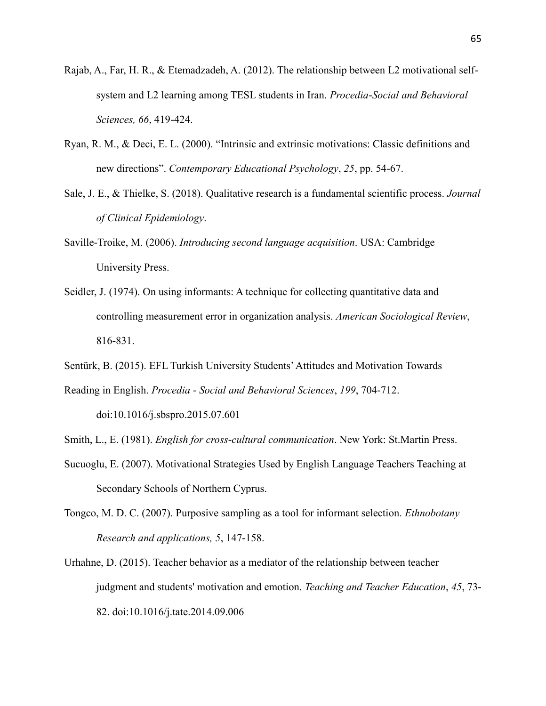- Rajab, A., Far, H. R., & Etemadzadeh, A. (2012). The relationship between L2 motivational selfsystem and L2 learning among TESL students in Iran. *Procedia-Social and Behavioral Sciences, 66*, 419-424.
- Ryan, R. M., & Deci, E. L. (2000). "Intrinsic and extrinsic motivations: Classic definitions and new directions". *Contemporary Educational Psychology*, *25*, pp. 54-67.
- Sale, J. E., & Thielke, S. (2018). Qualitative research is a fundamental scientific process. *Journal of Clinical Epidemiology*.
- Saville-Troike, M. (2006). *Introducing second language acquisition*. USA: Cambridge University Press.
- Seidler, J. (1974). On using informants: A technique for collecting quantitative data and controlling measurement error in organization analysis. *American Sociological Review*, 816-831.
- Sentürk, B. (2015). EFL Turkish University Students" Attitudes and Motivation Towards
- Reading in English. *Procedia - Social and Behavioral Sciences*, *199*, 704-712. doi:10.1016/j.sbspro.2015.07.601
- Smith, L., E. (1981). *English for cross-cultural communication*. New York: St.Martin Press.
- Sucuoglu, E. (2007). Motivational Strategies Used by English Language Teachers Teaching at Secondary Schools of Northern Cyprus.
- Tongco, M. D. C. (2007). Purposive sampling as a tool for informant selection. *Ethnobotany Research and applications, 5*, 147-158.
- Urhahne, D. (2015). Teacher behavior as a mediator of the relationship between teacher judgment and students' motivation and emotion. *Teaching and Teacher Education*, *45*, 73- 82. doi:10.1016/j.tate.2014.09.006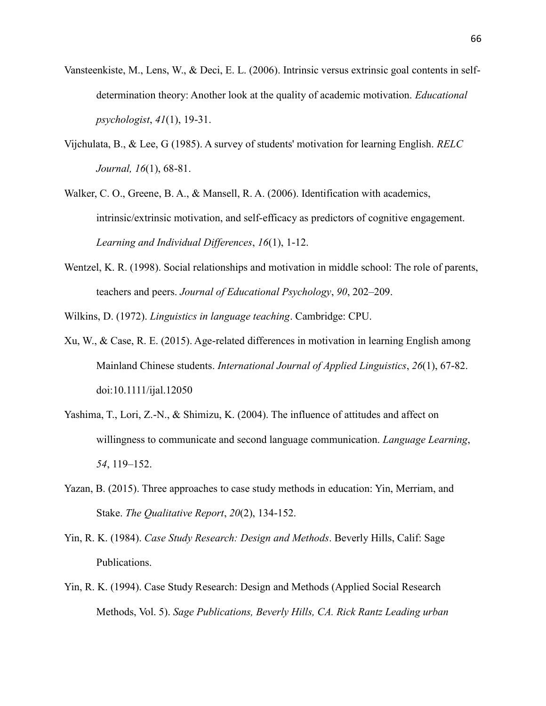- Vansteenkiste, M., Lens, W., & Deci, E. L. (2006). Intrinsic versus extrinsic goal contents in selfdetermination theory: Another look at the quality of academic motivation. *Educational psychologist*, *41*(1), 19-31.
- Vijchulata, B., & Lee, G (1985). A survey of students' motivation for learning English. *RELC Journal, 16*(1), 68-81.
- Walker, C. O., Greene, B. A., & Mansell, R. A. (2006). Identification with academics, intrinsic/extrinsic motivation, and self-efficacy as predictors of cognitive engagement. *Learning and Individual Differences*, *16*(1), 1-12.
- Wentzel, K. R. (1998). Social relationships and motivation in middle school: The role of parents, teachers and peers. *Journal of Educational Psychology*, *90*, 202–209.

Wilkins, D. (1972). *Linguistics in language teaching*. Cambridge: CPU.

- Xu, W., & Case, R. E. (2015). Age-related differences in motivation in learning English among Mainland Chinese students. *International Journal of Applied Linguistics*, *26*(1), 67-82. doi:10.1111/ijal.12050
- Yashima, T., Lori, Z.-N.,  $\&$  Shimizu, K. (2004). The influence of attitudes and affect on willingness to communicate and second language communication. *Language Learning*, *54*, 119–152.
- Yazan, B. (2015). Three approaches to case study methods in education: Yin, Merriam, and Stake. *The Qualitative Report*, *20*(2), 134-152.
- Yin, R. K. (1984). *Case Study Research: Design and Methods*. Beverly Hills, Calif: Sage Publications.
- Yin, R. K. (1994). Case Study Research: Design and Methods (Applied Social Research Methods, Vol. 5). *Sage Publications, Beverly Hills, CA. Rick Rantz Leading urban*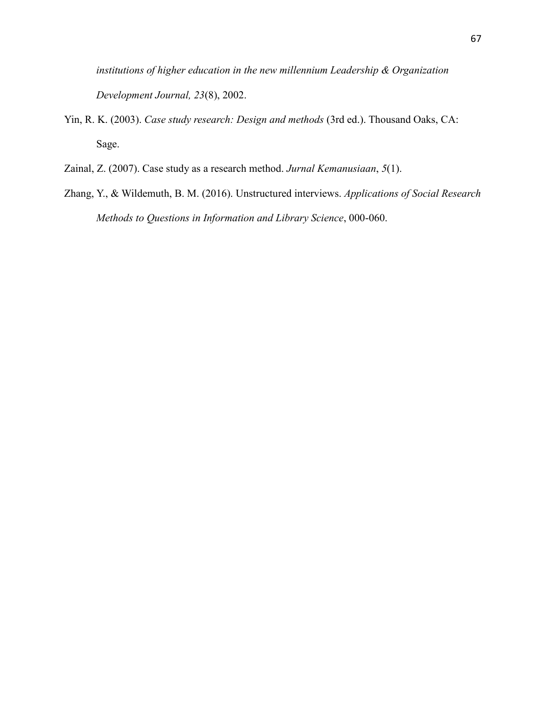*institutions of higher education in the new millennium Leadership & Organization Development Journal, 23*(8), 2002.

- Yin, R. K. (2003). *Case study research: Design and methods* (3rd ed.). Thousand Oaks, CA: Sage.
- Zainal, Z. (2007). Case study as a research method. *Jurnal Kemanusiaan*, *5*(1).
- Zhang, Y., & Wildemuth, B. M. (2016). Unstructured interviews. *Applications of Social Research Methods to Questions in Information and Library Science*, 000-060.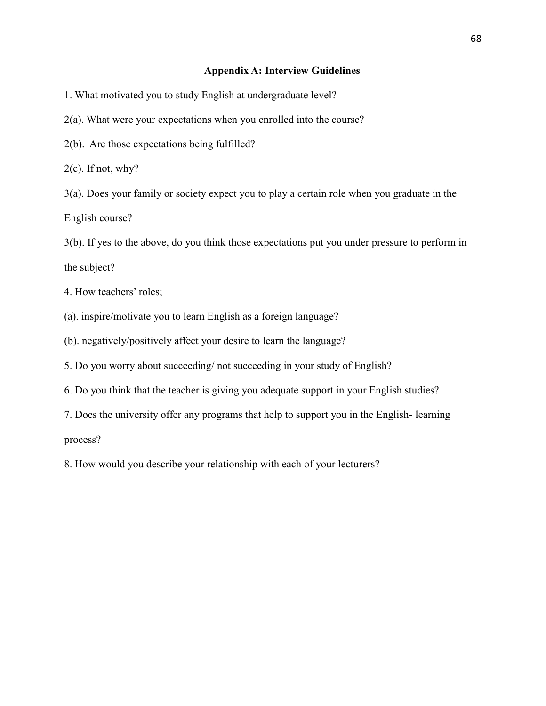# **Appendix A: Interview Guidelines**

1. What motivated you to study English at undergraduate level?

2(a). What were your expectations when you enrolled into the course?

2(b). Are those expectations being fulfilled?

 $2(c)$ . If not, why?

3(a). Does your family or society expect you to play a certain role when you graduate in the English course?

3(b). If yes to the above, do you think those expectations put you under pressure to perform in the subject?

4. How teachers' roles;

(a). inspire/motivate you to learn English as a foreign language?

(b). negatively/positively affect your desire to learn the language?

5. Do you worry about succeeding/ not succeeding in your study of English?

6. Do you think that the teacher is giving you adequate support in your English studies?

7. Does the university offer any programs that help to support you in the English- learning process?

8. How would you describe your relationship with each of your lecturers?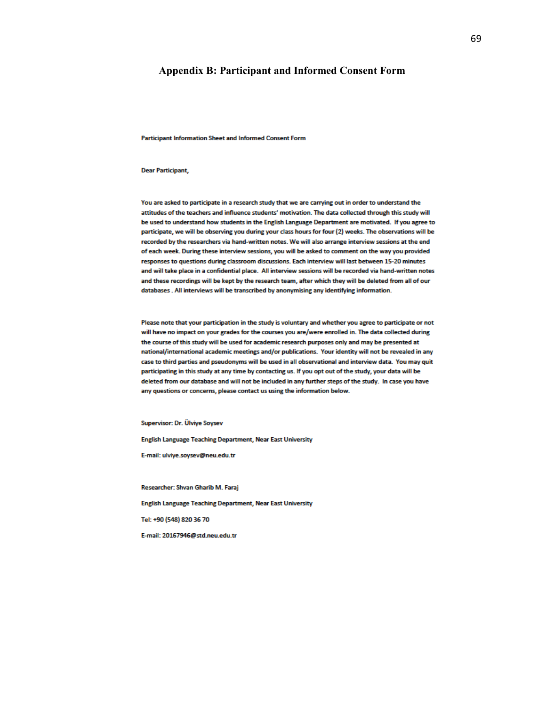### **Appendix B: Participant and Informed Consent Form**

Participant Information Sheet and Informed Consent Form

#### **Dear Participant.**

You are asked to participate in a research study that we are carrying out in order to understand the attitudes of the teachers and influence students' motivation. The data collected through this study will be used to understand how students in the English Language Department are motivated. If you agree to participate, we will be observing you during your class hours for four (2) weeks. The observations will be recorded by the researchers via hand-written notes. We will also arrange interview sessions at the end of each week. During these interview sessions, you will be asked to comment on the way you provided responses to questions during classroom discussions. Each interview will last between 15-20 minutes and will take place in a confidential place. All interview sessions will be recorded via hand-written notes and these recordings will be kept by the research team, after which they will be deleted from all of our databases. All interviews will be transcribed by anonymising any identifying information.

Please note that your participation in the study is voluntary and whether you agree to participate or not will have no impact on your grades for the courses you are/were enrolled in. The data collected during the course of this study will be used for academic research purposes only and may be presented at national/international academic meetings and/or publications. Your identity will not be revealed in any case to third parties and pseudonyms will be used in all observational and interview data. You may quit participating in this study at any time by contacting us. If you opt out of the study, your data will be deleted from our database and will not be included in any further steps of the study. In case you have any questions or concerns, please contact us using the information below.

Supervisor: Dr. Ülviye Soysev

**English Language Teaching Department, Near East University** 

E-mail: ulviye.soysev@neu.edu.tr

Researcher: Shvan Gharib M. Faraj English Language Teaching Department, Near East University Tel: +90 (548) 820 36 70 E-mail: 20167946@std.neu.edu.tr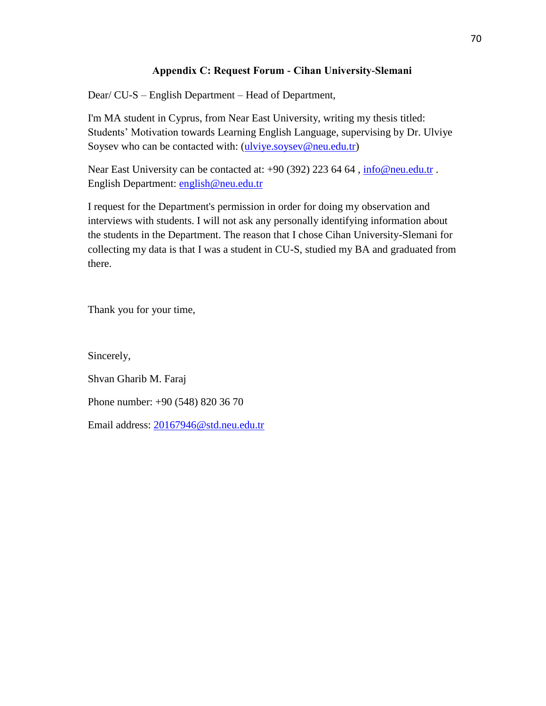# **Appendix C: Request Forum - Cihan University-Slemani**

Dear/ CU-S – English Department – Head of Department,

I'm MA student in Cyprus, from Near East University, writing my thesis titled: Students" Motivation towards Learning English Language, supervising by Dr. Ulviye Soysev who can be contacted with: (ulviye.soysev@neu.edu.tr)

Near East University can be contacted at: +90 (392) 223 64 64, info@neu.edu.tr. English Department: english@neu.edu.tr

I request for the Department's permission in order for doing my observation and interviews with students. I will not ask any personally identifying information about the students in the Department. The reason that I chose Cihan University-Slemani for collecting my data is that I was a student in CU-S, studied my BA and graduated from there.

Thank you for your time,

Sincerely,

Shvan Gharib M. Faraj

Phone number: +90 (548) 820 36 70

Email address: 20167946@std.neu.edu.tr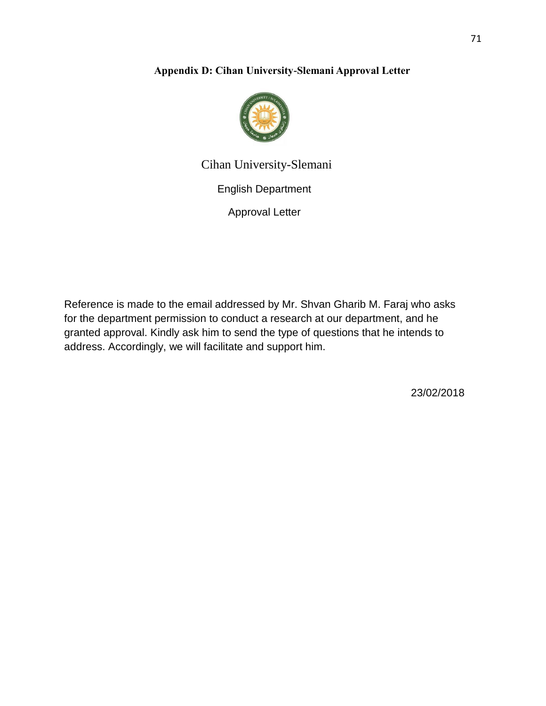# **Appendix D: Cihan University-Slemani Approval Letter**



Cihan University-Slemani

English Department

Approval Letter

Reference is made to the email addressed by Mr. Shvan Gharib M. Faraj who asks for the department permission to conduct a research at our department, and he granted approval. Kindly ask him to send the type of questions that he intends to address. Accordingly, we will facilitate and support him.

23/02/2018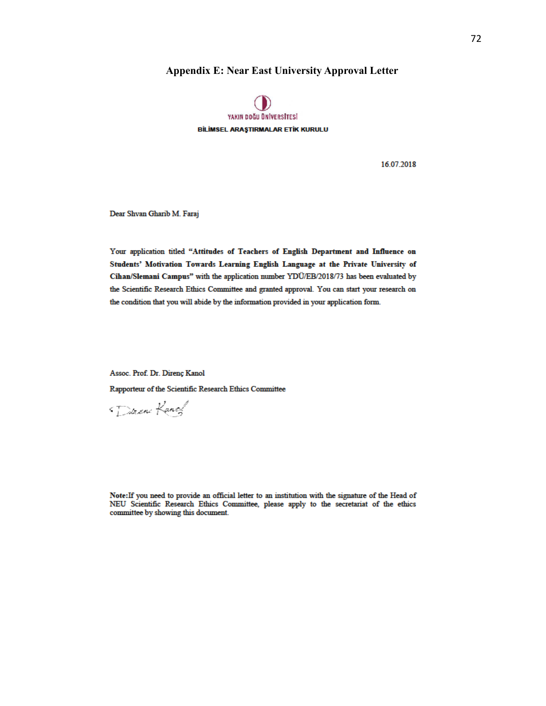### **Appendix E: Near East University Approval Letter**



16.07.2018

Dear Shvan Gharib M. Faraj

Your application titled "Attitudes of Teachers of English Department and Influence on Students' Motivation Towards Learning English Language at the Private University of Cihan/Slemani Campus" with the application number YDÜ/EB/2018/73 has been evaluated by the Scientific Research Ethics Committee and granted approval. You can start your research on the condition that you will abide by the information provided in your application form.

Assoc. Prof. Dr. Direnç Kanol

Rapporteur of the Scientific Research Ethics Committee

Diren Kanel

Note: If you need to provide an official letter to an institution with the signature of the Head of NEU Scientific Research Ethics Committee, please apply to the secretariat of the ethics committee by showing this document.